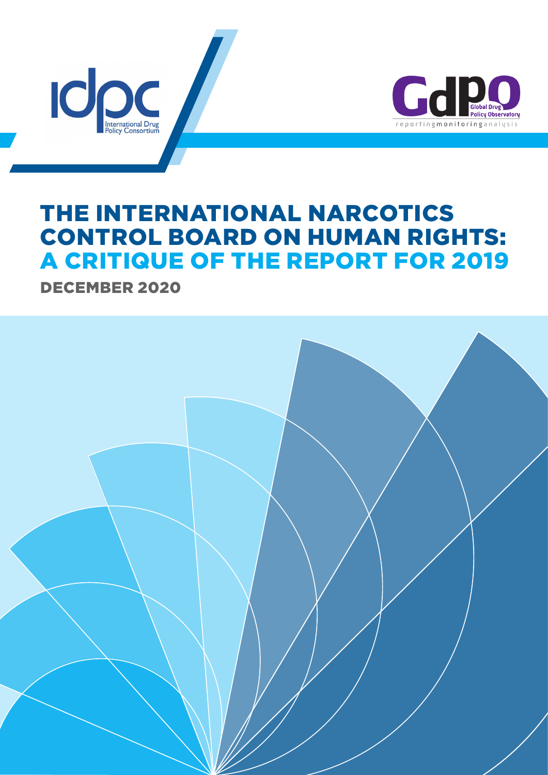



# THE INTERNATIONAL NARCOTICS CONTROL BOARD ON HUMAN RIGHTS: A CRITIQUE OF THE REPORT FOR 2019

DECEMBER 2020

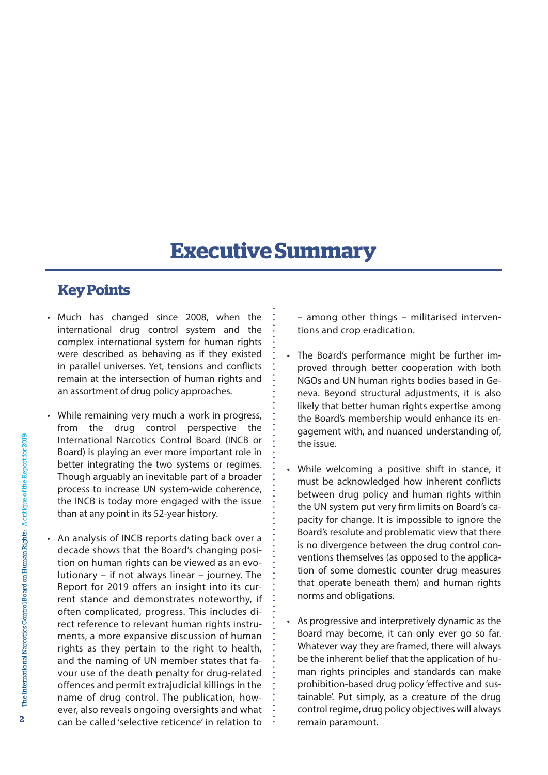## **Executive Summary**

## **Key Points**

- • Much has changed since 2008, when the international drug control system and the complex international system for human rights were described as behaving as if they existed in parallel universes. Yet, tensions and conflicts remain at the intersection of human rights and an assortment of drug policy approaches.
- While remaining very much a work in progress, from the drug control perspective the International Narcotics Control Board (INCB or Board) is playing an ever more important role in better integrating the two systems or regimes. Though arguably an inevitable part of a broader process to increase UN system-wide coherence, the INCB is today more engaged with the issue than at any point in its 52-year history.
- An analysis of INCB reports dating back over a decade shows that the Board's changing position on human rights can be viewed as an evolutionary – if not always linear – journey. The Report for 2019 offers an insight into its current stance and demonstrates noteworthy, if often complicated, progress. This includes direct reference to relevant human rights instruments, a more expansive discussion of human rights as they pertain to the right to health, and the naming of UN member states that favour use of the death penalty for drug-related offences and permit extrajudicial killings in the name of drug control. The publication, however, also reveals ongoing oversights and what can be called 'selective reticence' in relation to

– among other things – militarised interventions and crop eradication.

- The Board's performance might be further improved through better cooperation with both NGOs and UN human rights bodies based in Geneva. Beyond structural adjustments, it is also likely that better human rights expertise among the Board's membership would enhance its engagement with, and nuanced understanding of, the issue.
- While welcoming a positive shift in stance, it must be acknowledged how inherent conflicts between drug policy and human rights within the UN system put very firm limits on Board's capacity for change. It is impossible to ignore the Board's resolute and problematic view that there is no divergence between the drug control conventions themselves (as opposed to the application of some domestic counter drug measures that operate beneath them) and human rights norms and obligations.
- • As progressive and interpretively dynamic as the Board may become, it can only ever go so far. Whatever way they are framed, there will always be the inherent belief that the application of human rights principles and standards can make prohibition-based drug policy 'effective and sustainable'. Put simply, as a creature of the drug control regime, drug policy objectives will always remain paramount.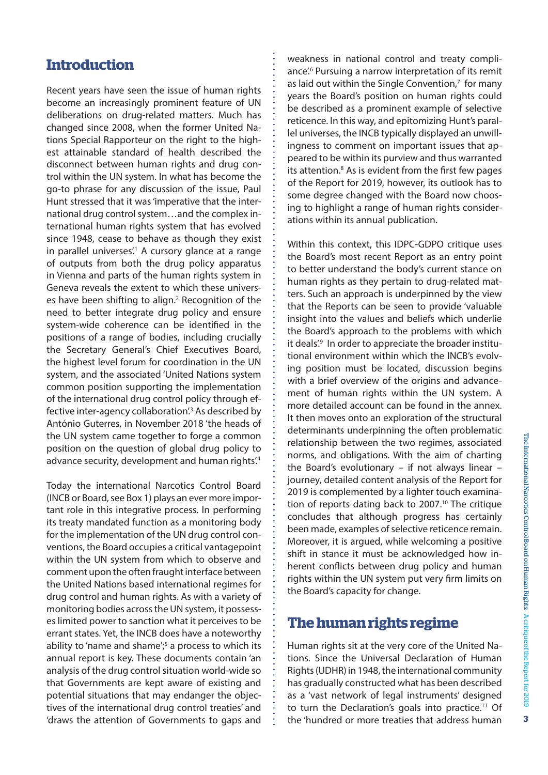## **Introduction**

Recent years have seen the issue of human rights become an increasingly prominent feature of UN deliberations on drug-related matters. Much has changed since 2008, when the former United Nations Special Rapporteur on the right to the highest attainable standard of health described the disconnect between human rights and drug control within the UN system. In what has become the go-to phrase for any discussion of the issue, Paul Hunt stressed that it was'imperative that the international drug control system…and the complex international human rights system that has evolved since 1948, cease to behave as though they exist in parallel universes.<sup>1</sup> A cursory glance at a range of outputs from both the drug policy apparatus in Vienna and parts of the human rights system in Geneva reveals the extent to which these universes have been shifting to align.<sup>2</sup> Recognition of the need to better integrate drug policy and ensure system-wide coherence can be identified in the positions of a range of bodies, including crucially the Secretary General's Chief Executives Board, the highest level forum for coordination in the UN system, and the associated 'United Nations system common position supporting the implementation of the international drug control policy through effective inter-agency collaboration<sup>'3</sup> As described by António Guterres, in November 2018 'the heads of the UN system came together to forge a common position on the question of global drug policy to advance security, development and human rights.<sup>4</sup>

Today the international Narcotics Control Board (INCB or Board, see Box 1) plays an ever more important role in this integrative process. In performing its treaty mandated function as a monitoring body for the implementation of the UN drug control conventions, the Board occupies a critical vantagepoint within the UN system from which to observe and comment upon the often fraught interface between the United Nations based international regimes for drug control and human rights. As with a variety of monitoring bodies acrossthe UN system, it possesses limited power to sanction what it perceives to be errant states. Yet, the INCB does have a noteworthy ability to 'name and shame'; $5$  a process to which its annual report is key. These documents contain 'an analysis of the drug control situation world-wide so that Governments are kept aware of existing and potential situations that may endanger the objectives of the international drug control treaties' and 'draws the attention of Governments to gaps and

weakness in national control and treaty compliance<sup>'.6</sup> Pursuing a narrow interpretation of its remit as laid out within the Single Convention, $<sup>7</sup>$  for many</sup> years the Board's position on human rights could be described as a prominent example of selective reticence. In this way, and epitomizing Hunt's parallel universes, the INCB typically displayed an unwillingness to comment on important issues that appeared to be within its purview and thus warranted its attention.<sup>8</sup> As is evident from the first few pages of the Report for 2019, however, its outlook has to some degree changed with the Board now choosing to highlight a range of human rights considerations within its annual publication.

Within this context, this IDPC-GDPO critique uses the Board's most recent Report as an entry point to better understand the body's current stance on human rights as they pertain to drug-related matters. Such an approach is underpinned by the view that the Reports can be seen to provide 'valuable insight into the values and beliefs which underlie the Board's approach to the problems with which it deals.<sup>9</sup> In order to appreciate the broader institutional environment within which the INCB's evolving position must be located, discussion begins with a brief overview of the origins and advancement of human rights within the UN system. A more detailed account can be found in the annex. It then moves onto an exploration of the structural determinants underpinning the often problematic relationship between the two regimes, associated norms, and obligations. With the aim of charting the Board's evolutionary – if not always linear – journey, detailed content analysis of the Report for 2019 is complemented by a lighter touch examination of reports dating back to 2007.<sup>10</sup> The critique concludes that although progress has certainly been made, examples of selective reticence remain. Moreover, it is argued, while welcoming a positive shift in stance it must be acknowledged how inherent conflicts between drug policy and human rights within the UN system put very firm limits on the Board's capacity for change.

#### **The human rights regime**

Human rights sit at the very core of the United Nations. Since the Universal Declaration of Human Rights(UDHR) in 1948,the international community has gradually constructed what has been described as a 'vast network of legal instruments' designed to turn the Declaration's goals into practice.11 Of the 'hundred or more treaties that address human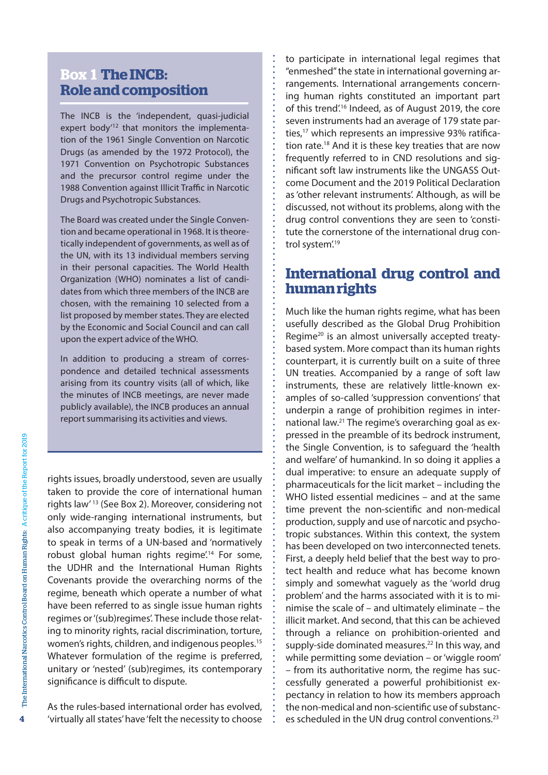## **Box 1 The INCB: Role and composition**

The INCB is the 'independent, quasi-judicial expert body<sup>12</sup> that monitors the implementation of the 1961 Single Convention on Narcotic Drugs (as amended by the 1972 Protocol), the 1971 Convention on Psychotropic Substances and the precursor control regime under the 1988 Convention against Illicit Traffic in Narcotic Drugs and Psychotropic Substances.

The Board was created under the Single Convention and became operational in 1968. It is theoretically independent of governments, as well as of the UN, with its 13 individual members serving in their personal capacities. The World Health Organization (WHO) nominates a list of candidates from which three members of the INCB are chosen, with the remaining 10 selected from a list proposed by member states. They are elected by the Economic and Social Council and can call upon the expert advice of the WHO.

In addition to producing a stream of correspondence and detailed technical assessments arising from its country visits (all of which, like the minutes of INCB meetings, are never made publicly available), the INCB produces an annual report summarising its activities and views.

rights issues, broadly understood, seven are usually taken to provide the core of international human rights law' <sup>13</sup> (See Box 2). Moreover, considering not only wide-ranging international instruments, but also accompanying treaty bodies, it is legitimate to speak in terms of a UN-based and 'normatively robust global human rights regime<sup>'14</sup> For some, the UDHR and the International Human Rights Covenants provide the overarching norms of the regime, beneath which operate a number of what have been referred to as single issue human rights regimes or'(sub)regimes'. These include those relating to minority rights, racial discrimination, torture, women's rights, children, and indigenous peoples.<sup>15</sup> Whatever formulation of the regime is preferred, unitary or 'nested' (sub)regimes, its contemporary significance is difficult to dispute.

As the rules-based international order has evolved, 'virtually all states' have 'felt the necessity to choose to participate in international legal regimes that "enmeshed"the state in international governing arrangements. International arrangements concerning human rights constituted an important part of this trend<sup>''6</sup> Indeed, as of August 2019, the core seven instruments had an average of 179 state parties,<sup>17</sup> which represents an impressive 93% ratification rate.<sup>18</sup> And it is these key treaties that are now frequently referred to in CND resolutions and significant soft law instruments like the UNGASS Outcome Document and the 2019 Political Declaration as'other relevant instruments'. Although, as will be discussed, not without its problems, along with the drug control conventions they are seen to 'constitute the cornerstone of the international drug control system.<sup>19</sup>

## **International drug control and human rights**

Much like the human rights regime, what has been usefully described as the Global Drug Prohibition Regime<sup>20</sup> is an almost universally accepted treatybased system. More compact than its human rights counterpart, it is currently built on a suite of three UN treaties. Accompanied by a range of soft law instruments, these are relatively little-known examples of so-called 'suppression conventions' that underpin a range of prohibition regimes in international law.21 The regime's overarching goal as expressed in the preamble of its bedrock instrument, the Single Convention, is to safeguard the 'health and welfare' of humankind. In so doing it applies a dual imperative: to ensure an adequate supply of pharmaceuticals for the licit market – including the WHO listed essential medicines – and at the same time prevent the non-scientific and non-medical production, supply and use of narcotic and psychotropic substances. Within this context, the system has been developed on two interconnected tenets. First, a deeply held belief that the best way to protect health and reduce what has become known simply and somewhat vaguely as the 'world drug problem' and the harms associated with it is to minimise the scale of – and ultimately eliminate – the illicit market. And second, that this can be achieved through a reliance on prohibition-oriented and supply-side dominated measures.<sup>22</sup> In this way, and while permitting some deviation – or'wiggle room' – from its authoritative norm, the regime has successfully generated a powerful prohibitionist expectancy in relation to how its members approach the non-medical and non-scientific use of substances scheduled in the UN drug control conventions.<sup>23</sup>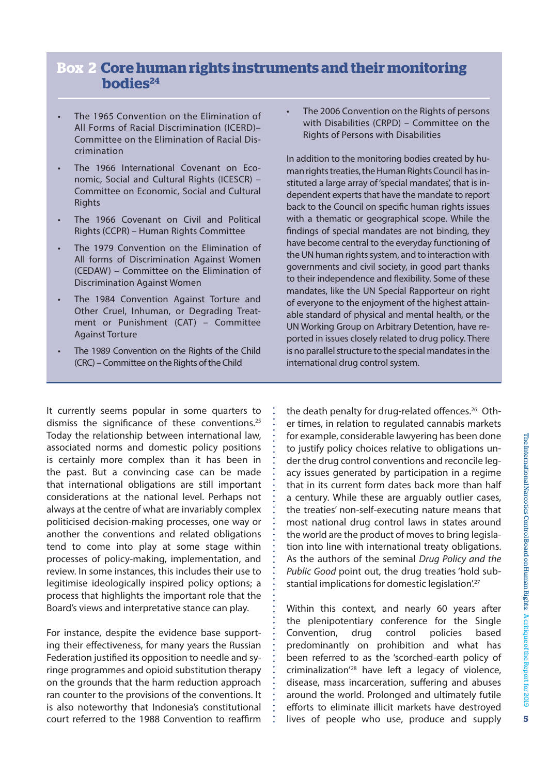#### **Box 2 Core human rights instruments and their monitoring bodies**<sup>24</sup>

- The 1965 Convention on the Elimination of All Forms of Racial Discrimination (ICERD)– Committee on the Elimination of Racial Discrimination
- The 1966 International Covenant on Economic, Social and Cultural Rights (ICESCR) – Committee on Economic, Social and Cultural **Rights**
- The 1966 Covenant on Civil and Political Rights (CCPR) – Human Rights Committee
- The 1979 Convention on the Elimination of All forms of Discrimination Against Women (CEDAW) – Committee on the Elimination of Discrimination Against Women
- The 1984 Convention Against Torture and Other Cruel, Inhuman, or Degrading Treatment or Punishment (CAT) – Committee Against Torture
- The 1989 Convention on the Rights of the Child (CRC) – Committee on the Rights of the Child

It currently seems popular in some quarters to dismiss the significance of these conventions.<sup>25</sup> Today the relationship between international law, associated norms and domestic policy positions is certainly more complex than it has been in the past. But a convincing case can be made that international obligations are still important considerations at the national level. Perhaps not always at the centre of what are invariably complex politicised decision-making processes, one way or another the conventions and related obligations tend to come into play at some stage within processes of policy-making, implementation, and review. In some instances, this includes their use to legitimise ideologically inspired policy options; a process that highlights the important role that the Board's views and interpretative stance can play.

For instance, despite the evidence base supporting their effectiveness, for many years the Russian Federation justified its opposition to needle and syringe programmes and opioid substitution therapy on the grounds that the harm reduction approach ran counter to the provisions of the conventions. It is also noteworthy that Indonesia's constitutional court referred to the 1988 Convention to reaffirm The 2006 Convention on the Rights of persons with Disabilities (CRPD) – Committee on the Rights of Persons with Disabilities

In addition to the monitoring bodies created by human rights treaties, the Human Rights Council has instituted a large array of'special mandates', that is independent experts that have the mandate to report back to the Council on specific human rights issues with a thematic or geographical scope. While the findings of special mandates are not binding, they have become central to the everyday functioning of the UN human rights system, and to interaction with governments and civil society, in good part thanks to their independence and flexibility. Some of these mandates, like the UN Special Rapporteur on right of everyone to the enjoyment of the highest attainable standard of physical and mental health, or the UN Working Group on Arbitrary Detention, have reported in issues closely related to drug policy. There is no parallel structure to the special mandates in the international drug control system.

the death penalty for drug-related offences.<sup>26</sup> Other times, in relation to regulated cannabis markets for example, considerable lawyering has been done to justify policy choices relative to obligations under the drug control conventions and reconcile legacy issues generated by participation in a regime that in its current form dates back more than half a century. While these are arguably outlier cases, the treaties' non-self-executing nature means that most national drug control laws in states around the world are the product of moves to bring legislation into line with international treaty obligations. As the authors of the seminal *Drug Policy and the Public Good* point out, the drug treaties 'hold substantial implications for domestic legislation.<sup>27</sup>

Within this context, and nearly 60 years after the plenipotentiary conference for the Single Convention, drug control policies based predominantly on prohibition and what has been referred to as the 'scorched-earth policy of criminalization'28 have left a legacy of violence, disease, mass incarceration, suffering and abuses around the world. Prolonged and ultimately futile efforts to eliminate illicit markets have destroyed lives of people who use, produce and supply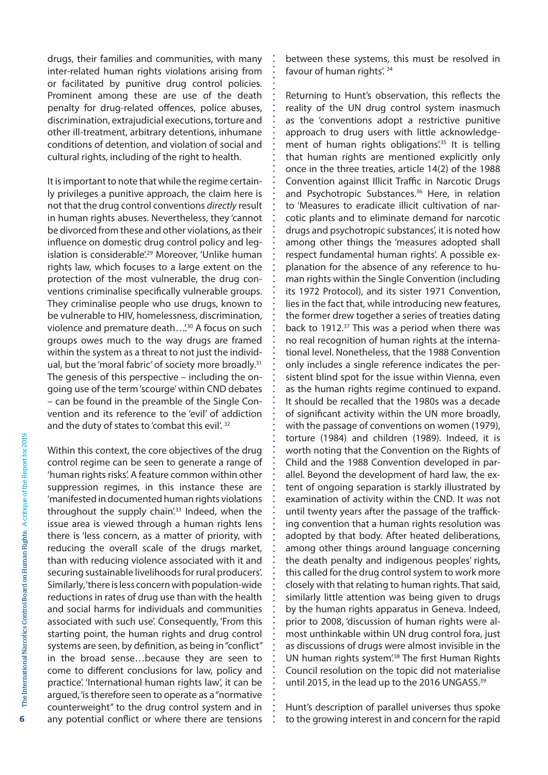drugs, their families and communities, with many inter-related human rights violations arising from or facilitated by punitive drug control policies. Prominent among these are use of the death penalty for drug-related offences, police abuses, discrimination, extrajudicial executions, torture and other ill-treatment, arbitrary detentions, inhumane conditions of detention, and violation of social and cultural rights, including of the right to health.

It is important to note that while the regime certainly privileges a punitive approach, the claim here is not that the drug control conventions *directly* result in human rights abuses. Nevertheless, they 'cannot be divorced from these and other violations, astheir influence on domestic drug control policy and legislation is considerable<sup>', 29</sup> Moreover, 'Unlike human rights law, which focuses to a large extent on the protection of the most vulnerable, the drug conventions criminalise specifically vulnerable groups. They criminalise people who use drugs, known to be vulnerable to HIV, homelessness, discrimination, violence and premature death...<sup>'30</sup> A focus on such groups owes much to the way drugs are framed within the system as a threat to not just the individual, but the 'moral fabric' of society more broadly.<sup>31</sup> The genesis of this perspective – including the ongoing use of the term'scourge'within CND debates – can be found in the preamble of the Single Convention and its reference to the 'evil' of addiction and the duty of states to 'combat this evil'. 32

Within this context, the core objectives of the drug control regime can be seen to generate a range of 'human rights risks'. A feature common within other suppression regimes, in this instance these are 'manifested in documented human rights violations throughout the supply chain<sup>'33</sup> Indeed, when the issue area is viewed through a human rights lens there is 'less concern, as a matter of priority, with reducing the overall scale of the drugs market, than with reducing violence associated with it and securing sustainable livelihoods for rural producers'. Similarly, 'there is less concern with population-wide reductions in rates of drug use than with the health and social harms for individuals and communities associated with such use'. Consequently, 'From this starting point, the human rights and drug control systems are seen, by definition, as being in"conflict" in the broad sense…because they are seen to come to different conclusions for law, policy and practice'. 'International human rights law', it can be argued,'istherefore seen to operate as a"normative counterweight" to the drug control system and in any potential conflict or where there are tensions

between these systems, this must be resolved in favour of human rights'. 34

Returning to Hunt's observation, this reflects the reality of the UN drug control system inasmuch as the 'conventions adopt a restrictive punitive approach to drug users with little acknowledgement of human rights obligations<sup>'35</sup> It is telling that human rights are mentioned explicitly only once in the three treaties, article 14(2) of the 1988 Convention against Illicit Traffic in Narcotic Drugs and Psychotropic Substances.<sup>36</sup> Here, in relation to 'Measures to eradicate illicit cultivation of narcotic plants and to eliminate demand for narcotic drugs and psychotropic substances', it is noted how among other things the 'measures adopted shall respect fundamental human rights'. A possible explanation for the absence of any reference to human rights within the Single Convention (including its 1972 Protocol), and its sister 1971 Convention, lies in the fact that, while introducing new features, the former drew together a series of treaties dating back to 1912.<sup>37</sup> This was a period when there was no real recognition of human rights at the international level. Nonetheless, that the 1988 Convention only includes a single reference indicates the persistent blind spot for the issue within Vienna, even as the human rights regime continued to expand. It should be recalled that the 1980s was a decade of significant activity within the UN more broadly, with the passage of conventions on women (1979), torture (1984) and children (1989). Indeed, it is worth noting that the Convention on the Rights of Child and the 1988 Convention developed in parallel. Beyond the development of hard law, the extent of ongoing separation is starkly illustrated by examination of activity within the CND. It was not until twenty years after the passage of the trafficking convention that a human rights resolution was adopted by that body. After heated deliberations, among other things around language concerning the death penalty and indigenous peoples' rights, this called for the drug control system to work more closely with that relating to human rights. That said, similarly little attention was being given to drugs by the human rights apparatus in Geneva. Indeed, prior to 2008, 'discussion of human rights were almost unthinkable within UN drug control fora, just as discussions of drugs were almost invisible in the UN human rights system<sup>'38</sup> The first Human Rights Council resolution on the topic did not materialise until 2015, in the lead up to the 2016 UNGASS.<sup>39</sup>

Hunt's description of parallel universes thus spoke to the growing interest in and concern for the rapid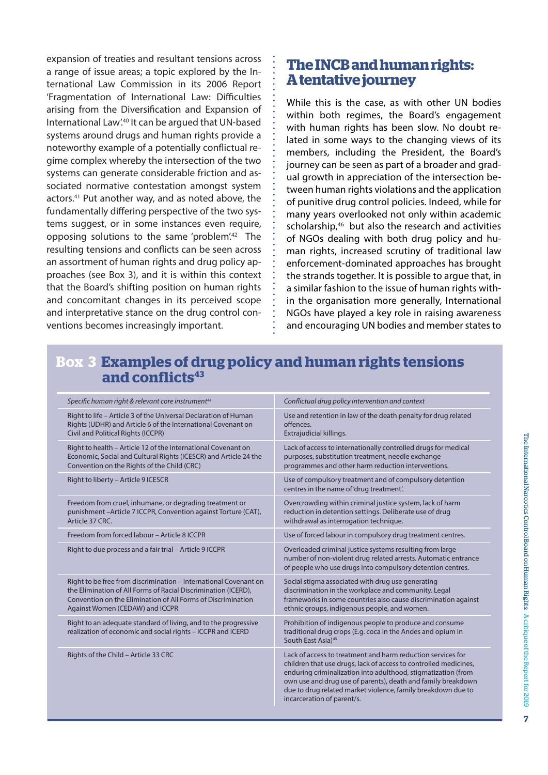expansion of treaties and resultant tensions across a range of issue areas; a topic explored by the International Law Commission in its 2006 Report 'Fragmentation of International Law: Difficulties arising from the Diversification and Expansion of International Law'.40 It can be argued that UN-based systems around drugs and human rights provide a noteworthy example of a potentially conflictual regime complex whereby the intersection of the two systems can generate considerable friction and associated normative contestation amongst system actors.41 Put another way, and as noted above, the fundamentally differing perspective of the two systems suggest, or in some instances even require, opposing solutions to the same 'problem'.42 The resulting tensions and conflicts can be seen across an assortment of human rights and drug policy approaches (see Box 3), and it is within this context that the Board's shifting position on human rights and concomitant changes in its perceived scope and interpretative stance on the drug control conventions becomes increasingly important.

## **The INCB and human rights: A tentative journey**

While this is the case, as with other UN bodies within both regimes, the Board's engagement with human rights has been slow. No doubt related in some ways to the changing views of its members, including the President, the Board's journey can be seen as part of a broader and gradual growth in appreciation of the intersection between human rights violations and the application of punitive drug control policies. Indeed, while for many years overlooked not only within academic scholarship,<sup>46</sup> but also the research and activities of NGOs dealing with both drug policy and human rights, increased scrutiny of traditional law enforcement-dominated approaches has brought the strands together. It is possible to argue that, in a similar fashion to the issue of human rights within the organisation more generally, International NGOs have played a key role in raising awareness and encouraging UN bodies and member states to

## **Box 3 Examples of drug policy and human rights tensions**  and conflicts<sup>43</sup>

| Specific human right & relevant core instrument <sup>44</sup>                                                                                                                                                                         | Conflictual drug policy intervention and context                                                                                                                                                                                                                                                                                                               |
|---------------------------------------------------------------------------------------------------------------------------------------------------------------------------------------------------------------------------------------|----------------------------------------------------------------------------------------------------------------------------------------------------------------------------------------------------------------------------------------------------------------------------------------------------------------------------------------------------------------|
| Right to life - Article 3 of the Universal Declaration of Human<br>Rights (UDHR) and Article 6 of the International Covenant on<br>Civil and Political Rights (ICCPR)                                                                 | Use and retention in law of the death penalty for drug related<br>offences.<br>Extrajudicial killings.                                                                                                                                                                                                                                                         |
| Right to health - Article 12 of the International Covenant on<br>Economic, Social and Cultural Rights (ICESCR) and Article 24 the<br>Convention on the Rights of the Child (CRC)                                                      | Lack of access to internationally controlled drugs for medical<br>purposes, substitution treatment, needle exchange<br>programmes and other harm reduction interventions.                                                                                                                                                                                      |
| Right to liberty - Article 9 ICESCR                                                                                                                                                                                                   | Use of compulsory treatment and of compulsory detention<br>centres in the name of 'drug treatment'.                                                                                                                                                                                                                                                            |
| Freedom from cruel, inhumane, or degrading treatment or<br>punishment-Article 7 ICCPR, Convention against Torture (CAT),<br>Article 37 CRC.                                                                                           | Overcrowding within criminal justice system, lack of harm<br>reduction in detention settings. Deliberate use of drug<br>withdrawal as interrogation technique.                                                                                                                                                                                                 |
| Freedom from forced labour - Article 8 ICCPR                                                                                                                                                                                          | Use of forced labour in compulsory drug treatment centres.                                                                                                                                                                                                                                                                                                     |
| Right to due process and a fair trial - Article 9 ICCPR                                                                                                                                                                               | Overloaded criminal justice systems resulting from large<br>number of non-violent drug related arrests. Automatic entrance<br>of people who use drugs into compulsory detention centres.                                                                                                                                                                       |
| Right to be free from discrimination - International Covenant on<br>the Elimination of All Forms of Racial Discrimination (ICERD),<br>Convention on the Elimination of All Forms of Discrimination<br>Against Women (CEDAW) and ICCPR | Social stigma associated with drug use generating<br>discrimination in the workplace and community. Legal<br>frameworks in some countries also cause discrimination against<br>ethnic groups, indigenous people, and women.                                                                                                                                    |
| Right to an adequate standard of living, and to the progressive<br>realization of economic and social rights - ICCPR and ICERD                                                                                                        | Prohibition of indigenous people to produce and consume<br>traditional drug crops (E.g. coca in the Andes and opium in<br>South East Asia) <sup>45</sup>                                                                                                                                                                                                       |
| Rights of the Child - Article 33 CRC                                                                                                                                                                                                  | Lack of access to treatment and harm reduction services for<br>children that use drugs, lack of access to controlled medicines,<br>enduring criminalization into adulthood, stigmatization (from<br>own use and drug use of parents), death and family breakdown<br>due to drug related market violence, family breakdown due to<br>incarceration of parent/s. |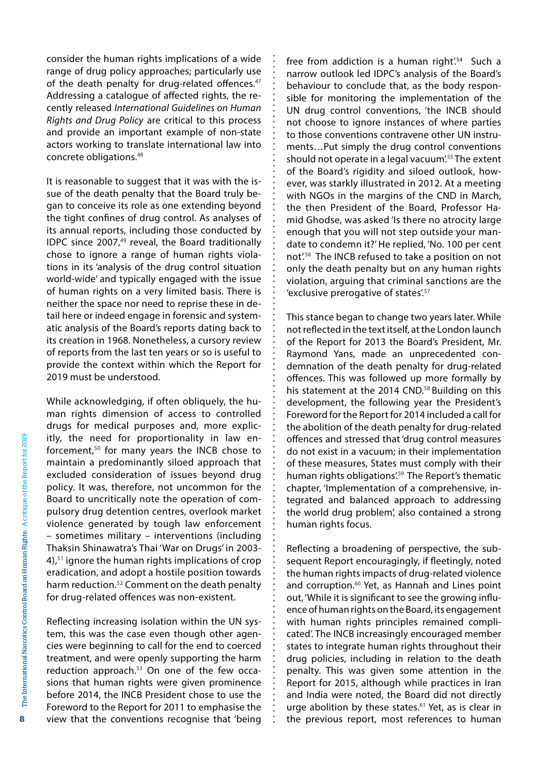consider the human rights implications of a wide range of drug policy approaches; particularly use of the death penalty for drug-related offences.<sup>47</sup> Addressing a catalogue of affected rights, the recently released *International Guidelines on Human Rights and Drug Policy* are critical to this process and provide an important example of non-state actors working to translate international law into concrete obligations.48

It is reasonable to suggest that it was with the issue of the death penalty that the Board truly began to conceive its role as one extending beyond the tight confines of drug control. As analyses of its annual reports, including those conducted by IDPC since  $2007<sub>1</sub><sup>49</sup>$  reveal, the Board traditionally chose to ignore a range of human rights violations in its 'analysis of the drug control situation world-wide' and typically engaged with the issue of human rights on a very limited basis. There is neither the space nor need to reprise these in detail here or indeed engage in forensic and systematic analysis of the Board's reports dating back to its creation in 1968. Nonetheless, a cursory review of reports from the last ten years or so is useful to provide the context within which the Report for 2019 must be understood.

While acknowledging, if often obliquely, the human rights dimension of access to controlled drugs for medical purposes and, more explicitly, the need for proportionality in law enforcement,50 for many years the INCB chose to maintain a predominantly siloed approach that excluded consideration of issues beyond drug policy. It was, therefore, not uncommon for the Board to uncritically note the operation of compulsory drug detention centres, overlook market violence generated by tough law enforcement – sometimes military – interventions (including Thaksin Shinawatra's Thai 'War on Drugs' in 2003- 4),51 ignore the human rights implications of crop eradication, and adopt a hostile position towards harm reduction.52 Comment on the death penalty for drug-related offences was non-existent.

Reflecting increasing isolation within the UN system, this was the case even though other agencies were beginning to call for the end to coerced treatment, and were openly supporting the harm reduction approach.<sup>53</sup> On one of the few occasions that human rights were given prominence before 2014, the INCB President chose to use the Foreword to the Report for 2011 to emphasise the view that the conventions recognise that 'being free from addiction is a human right'.<sup>54</sup> Such a narrow outlook led IDPC's analysis of the Board's behaviour to conclude that, as the body responsible for monitoring the implementation of the UN drug control conventions, 'the INCB should not choose to ignore instances of where parties to those conventions contravene other UN instruments…Put simply the drug control conventions should not operate in a legal vacuum<sup>'55</sup> The extent of the Board's rigidity and siloed outlook, however, was starkly illustrated in 2012. At a meeting with NGOs in the margins of the CND in March, the then President of the Board, Professor Hamid Ghodse, was asked 'Is there no atrocity large enough that you will not step outside your mandate to condemn it?'He replied, 'No. 100 per cent not'.56 The INCB refused to take a position on not only the death penalty but on any human rights violation, arguing that criminal sanctions are the 'exclusive prerogative of states'.<sup>57</sup>

This stance began to change two years later. While not reflected in the text itself, at the London launch of the Report for 2013 the Board's President, Mr. Raymond Yans, made an unprecedented condemnation of the death penalty for drug-related offences. This was followed up more formally by his statement at the 2014 CND.<sup>58</sup> Building on this development, the following year the President's Foreword for the Report for 2014 included a call for the abolition of the death penalty for drug-related offences and stressed that 'drug control measures do not exist in a vacuum; in their implementation of these measures, States must comply with their human rights obligations'.<sup>59</sup> The Report's thematic chapter, 'Implementation of a comprehensive, integrated and balanced approach to addressing the world drug problem', also contained a strong human rights focus.

Reflecting a broadening of perspective, the subsequent Report encouragingly, if fleetingly, noted the human rights impacts of drug-related violence and corruption.<sup>60</sup> Yet, as Hannah and Lines point out, 'While it is significant to see the growing influence of human rights on the Board, its engagement with human rights principles remained complicated'. The INCB increasingly encouraged member states to integrate human rights throughout their drug policies, including in relation to the death penalty. This was given some attention in the Report for 2015, although while practices in Iran and India were noted, the Board did not directly urge abolition by these states.<sup>61</sup> Yet, as is clear in the previous report, most references to human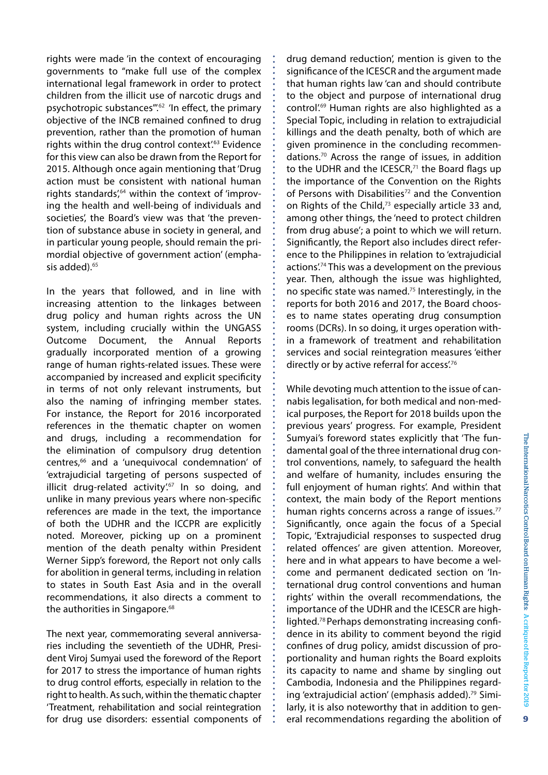rights were made 'in the context of encouraging governments to "make full use of the complex international legal framework in order to protect children from the illicit use of narcotic drugs and psychotropic substances".<sup>62</sup> 'In effect, the primary objective of the INCB remained confined to drug prevention, rather than the promotion of human rights within the drug control context<sup>'63</sup> Evidence for this view can also be drawn from the Report for 2015. Although once again mentioning that'Drug action must be consistent with national human rights standards $'_{1}^{64}$  within the context of 'improving the health and well-being of individuals and societies', the Board's view was that 'the prevention of substance abuse in society in general, and in particular young people, should remain the primordial objective of government action' (emphasis added).<sup>65</sup>

In the years that followed, and in line with increasing attention to the linkages between drug policy and human rights across the UN system, including crucially within the UNGASS Outcome Document, the Annual Reports gradually incorporated mention of a growing range of human rights-related issues. These were accompanied by increased and explicit specificity in terms of not only relevant instruments, but also the naming of infringing member states. For instance, the Report for 2016 incorporated references in the thematic chapter on women and drugs, including a recommendation for the elimination of compulsory drug detention centres,<sup>66</sup> and a 'unequivocal condemnation' of 'extrajudicial targeting of persons suspected of illicit drug-related activity'.<sup>67</sup> In so doing, and unlike in many previous years where non-specific references are made in the text, the importance of both the UDHR and the ICCPR are explicitly noted. Moreover, picking up on a prominent mention of the death penalty within President Werner Sipp's foreword, the Report not only calls for abolition in general terms, including in relation to states in South East Asia and in the overall recommendations, it also directs a comment to the authorities in Singapore.<sup>68</sup>

The next year, commemorating several anniversaries including the seventieth of the UDHR, President Viroj Sumyai used the foreword of the Report for 2017 to stress the importance of human rights to drug control efforts, especially in relation to the right to health. As such, within the thematic chapter 'Treatment, rehabilitation and social reintegration for drug use disorders: essential components of drug demand reduction', mention is given to the significance of the ICESCR and the argument made that human rights law 'can and should contribute to the object and purpose of international drug control'.69 Human rights are also highlighted as a Special Topic, including in relation to extrajudicial killings and the death penalty, both of which are given prominence in the concluding recommendations.70 Across the range of issues, in addition to the UDHR and the ICESCR, $71$  the Board flags up the importance of the Convention on the Rights of Persons with Disabilities<sup>72</sup> and the Convention on Rights of the Child,<sup>73</sup> especially article 33 and, among other things, the 'need to protect children from drug abuse'; a point to which we will return. Significantly, the Report also includes direct reference to the Philippines in relation to 'extrajudicial actions'.<sup>74</sup> This was a development on the previous year. Then, although the issue was highlighted, no specific state was named.75 Interestingly, in the reports for both 2016 and 2017, the Board chooses to name states operating drug consumption rooms (DCRs). In so doing, it urges operation within a framework of treatment and rehabilitation services and social reintegration measures 'either directly or by active referral for access'.<sup>76</sup>

While devoting much attention to the issue of cannabis legalisation, for both medical and non-medical purposes, the Report for 2018 builds upon the previous years' progress. For example, President Sumyai's foreword states explicitly that 'The fundamental goal of the three international drug control conventions, namely, to safeguard the health and welfare of humanity, includes ensuring the full enjoyment of human rights'. And within that context, the main body of the Report mentions human rights concerns across a range of issues.<sup>77</sup> Significantly, once again the focus of a Special Topic, 'Extrajudicial responses to suspected drug related offences' are given attention. Moreover, here and in what appears to have become a welcome and permanent dedicated section on 'International drug control conventions and human rights' within the overall recommendations, the importance of the UDHR and the ICESCR are highlighted.<sup>78</sup> Perhaps demonstrating increasing confidence in its ability to comment beyond the rigid confines of drug policy, amidst discussion of proportionality and human rights the Board exploits its capacity to name and shame by singling out Cambodia, Indonesia and the Philippines regarding 'extrajudicial action' (emphasis added).<sup>79</sup> Similarly, it is also noteworthy that in addition to general recommendations regarding the abolition of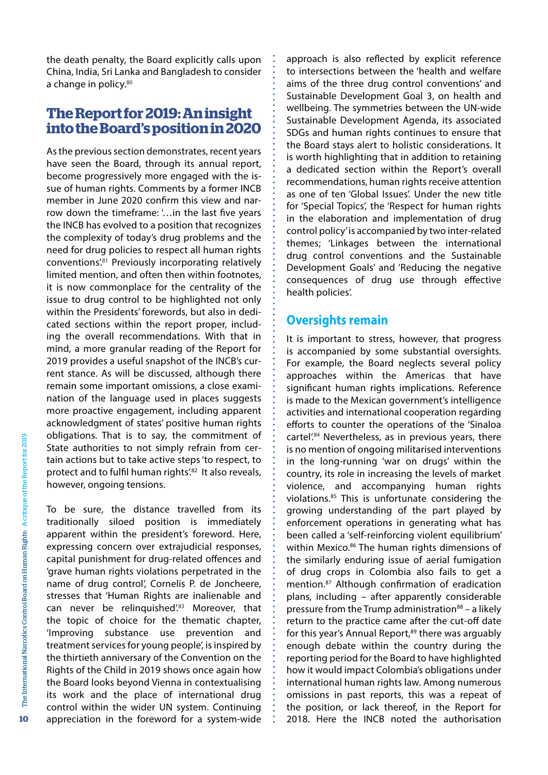the death penalty, the Board explicitly calls upon China, India, Sri Lanka and Bangladesh to consider a change in policy.<sup>80</sup>

## **The Report for 2019: An insight into the Board's position in 2020**

As the previous section demonstrates, recent years have seen the Board, through its annual report, become progressively more engaged with the issue of human rights. Comments by a former INCB member in June 2020 confirm this view and narrow down the timeframe: '…in the last five years the INCB has evolved to a position that recognizes the complexity of today's drug problems and the need for drug policies to respect all human rights conventions'.81 Previously incorporating relatively limited mention, and often then within footnotes, it is now commonplace for the centrality of the issue to drug control to be highlighted not only within the Presidents' forewords, but also in dedicated sections within the report proper, including the overall recommendations. With that in mind, a more granular reading of the Report for 2019 provides a useful snapshot of the INCB's current stance. As will be discussed, although there remain some important omissions, a close examination of the language used in places suggests more proactive engagement, including apparent acknowledgment of states' positive human rights obligations. That is to say, the commitment of State authorities to not simply refrain from certain actions but to take active steps'to respect, to protect and to fulfil human rights'.<sup>82</sup> It also reveals, however, ongoing tensions.

To be sure, the distance travelled from its traditionally siloed position is immediately apparent within the president's foreword. Here, expressing concern over extrajudicial responses, capital punishment for drug-related offences and 'grave human rights violations perpetrated in the name of drug control', Cornelis P. de Joncheere, stresses that 'Human Rights are inalienable and can never be relinquished'.83 Moreover, that the topic of choice for the thematic chapter, 'Improving substance use prevention and treatment services for young people', is inspired by the thirtieth anniversary of the Convention on the Rights of the Child in 2019 shows once again how the Board looks beyond Vienna in contextualising its work and the place of international drug control within the wider UN system. Continuing appreciation in the foreword for a system-wide approach is also reflected by explicit reference to intersections between the 'health and welfare aims of the three drug control conventions' and Sustainable Development Goal 3, on health and wellbeing. The symmetries between the UN-wide Sustainable Development Agenda, its associated SDGs and human rights continues to ensure that the Board stays alert to holistic considerations. It is worth highlighting that in addition to retaining a dedicated section within the Report's overall recommendations, human rights receive attention as one of ten 'Global Issues'. Under the new title for 'Special Topics', the 'Respect for human rights in the elaboration and implementation of drug control policy'is accompanied by two inter-related themes; 'Linkages between the international drug control conventions and the Sustainable Development Goals' and 'Reducing the negative consequences of drug use through effective health policies'.

#### **Oversights remain**

It is important to stress, however, that progress is accompanied by some substantial oversights. For example, the Board neglects several policy approaches within the Americas that have significant human rights implications. Reference is made to the Mexican government's intelligence activities and international cooperation regarding efforts to counter the operations of the 'Sinaloa cartel'.<sup>84</sup> Nevertheless, as in previous years, there is no mention of ongoing militarised interventions in the long-running 'war on drugs' within the country, its role in increasing the levels of market violence, and accompanying human rights violations.85 This is unfortunate considering the growing understanding of the part played by enforcement operations in generating what has been called a 'self-reinforcing violent equilibrium' within Mexico.<sup>86</sup> The human rights dimensions of the similarly enduring issue of aerial fumigation of drug crops in Colombia also fails to get a mention.87 Although confirmation of eradication plans, including – after apparently considerable pressure from the Trump administration $88 - a$  likely return to the practice came after the cut-off date for this year's Annual Report,<sup>89</sup> there was arguably enough debate within the country during the reporting period for the Board to have highlighted how it would impact Colombia's obligations under international human rights law. Among numerous omissions in past reports, this was a repeat of the position, or lack thereof, in the Report for 2018. Here the INCB noted the authorisation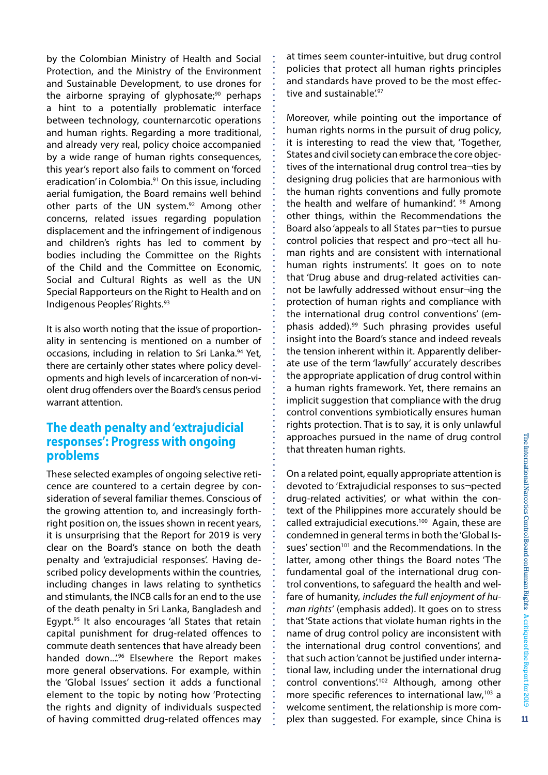by the Colombian Ministry of Health and Social Protection, and the Ministry of the Environment and Sustainable Development, to use drones for the airborne spraying of glyphosate; $90$  perhaps a hint to a potentially problematic interface between technology, counternarcotic operations and human rights. Regarding a more traditional, and already very real, policy choice accompanied by a wide range of human rights consequences, this year's report also fails to comment on 'forced eradication' in Colombia.<sup>91</sup> On this issue, including aerial fumigation, the Board remains well behind other parts of the UN system.<sup>92</sup> Among other concerns, related issues regarding population displacement and the infringement of indigenous and children's rights has led to comment by bodies including the Committee on the Rights of the Child and the Committee on Economic, Social and Cultural Rights as well as the UN Special Rapporteurs on the Right to Health and on Indigenous Peoples' Rights.93

It is also worth noting that the issue of proportionality in sentencing is mentioned on a number of occasions, including in relation to Sri Lanka.<sup>94</sup> Yet, there are certainly other states where policy developments and high levels of incarceration of non-violent drug offenders over the Board's census period warrant attention.

#### **The death penalty and 'extrajudicial responses': Progress with ongoing problems**

These selected examples of ongoing selective reticence are countered to a certain degree by consideration of several familiar themes. Conscious of the growing attention to, and increasingly forthright position on, the issues shown in recent years, it is unsurprising that the Report for 2019 is very clear on the Board's stance on both the death penalty and 'extrajudicial responses'. Having described policy developments within the countries, including changes in laws relating to synthetics and stimulants, the INCB calls for an end to the use of the death penalty in Sri Lanka, Bangladesh and Egypt.<sup>95</sup> It also encourages 'all States that retain capital punishment for drug-related offences to commute death sentences that have already been handed down..."<sup>96</sup> Elsewhere the Report makes more general observations. For example, within the 'Global Issues' section it adds a functional element to the topic by noting how 'Protecting the rights and dignity of individuals suspected of having committed drug-related offences may at times seem counter-intuitive, but drug control policies that protect all human rights principles and standards have proved to be the most effective and sustainable<sup>'97</sup>

Moreover, while pointing out the importance of human rights norms in the pursuit of drug policy, it is interesting to read the view that, 'Together, States and civil society can embrace the core objectives of the international drug control trea¬ties by designing drug policies that are harmonious with the human rights conventions and fully promote the health and welfare of humankind'. <sup>98</sup> Among other things, within the Recommendations the Board also 'appeals to all States par¬ties to pursue control policies that respect and pro¬tect all human rights and are consistent with international human rights instruments'. It goes on to note that 'Drug abuse and drug-related activities cannot be lawfully addressed without ensur¬ing the protection of human rights and compliance with the international drug control conventions' (emphasis added).99 Such phrasing provides useful insight into the Board's stance and indeed reveals the tension inherent within it. Apparently deliberate use of the term 'lawfully' accurately describes the appropriate application of drug control within a human rights framework. Yet, there remains an implicit suggestion that compliance with the drug control conventions symbiotically ensures human rights protection. That is to say, it is only unlawful approaches pursued in the name of drug control that threaten human rights.

On a related point, equally appropriate attention is devoted to 'Extrajudicial responses to sus¬pected drug-related activities', or what within the context of the Philippines more accurately should be called extrajudicial executions.<sup>100</sup> Again, these are condemned in general termsin both the'Global Issues' section<sup>101</sup> and the Recommendations. In the latter, among other things the Board notes 'The fundamental goal of the international drug control conventions, to safeguard the health and welfare of humanity, *includes the full enjoyment of human rights'* (emphasis added). It goes on to stress that'State actions that violate human rights in the name of drug control policy are inconsistent with the international drug control conventions', and that such action'cannot be justified under international law, including under the international drug control conventions<sup>'102</sup> Although, among other more specific references to international law,103 a welcome sentiment, the relationship is more complex than suggested. For example, since China is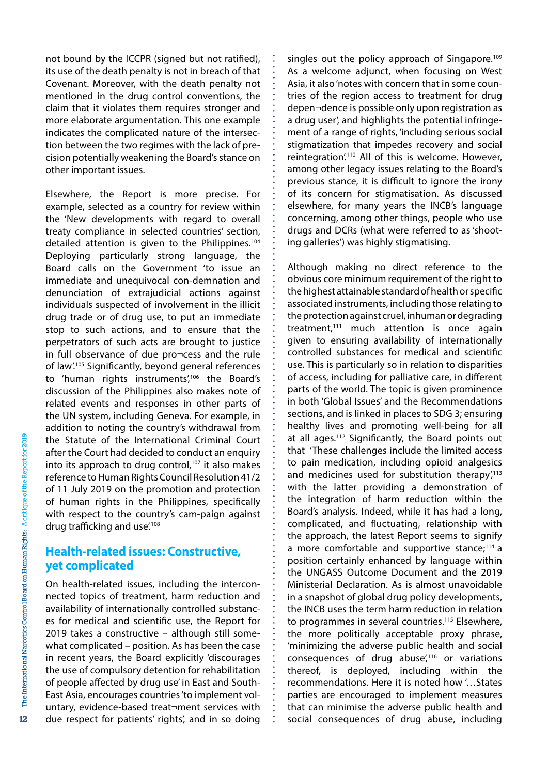not bound by the ICCPR (signed but not ratified), its use of the death penalty is not in breach of that Covenant. Moreover, with the death penalty not mentioned in the drug control conventions, the claim that it violates them requires stronger and more elaborate argumentation. This one example indicates the complicated nature of the intersection between the two regimes with the lack of precision potentially weakening the Board'sstance on other important issues.

Elsewhere, the Report is more precise. For example, selected as a country for review within the 'New developments with regard to overall treaty compliance in selected countries' section, detailed attention is given to the Philippines.<sup>104</sup> Deploying particularly strong language, the Board calls on the Government 'to issue an immediate and unequivocal con-demnation and denunciation of extrajudicial actions against individuals suspected of involvement in the illicit drug trade or of drug use, to put an immediate stop to such actions, and to ensure that the perpetrators of such acts are brought to justice in full observance of due pro¬cess and the rule of law'.105 Significantly, beyond general references to 'human rights instruments',<sup>106</sup> the Board's discussion of the Philippines also makes note of related events and responses in other parts of the UN system, including Geneva. For example, in addition to noting the country's withdrawal from the Statute of the International Criminal Court after the Court had decided to conduct an enquiry into its approach to drug control,<sup>107</sup> it also makes reference to Human Rights Council Resolution 41/2 of 11 July 2019 on the promotion and protection of human rights in the Philippines, specifically with respect to the country's cam-paign against drug trafficking and use<sup>',108</sup>

#### **Health-related issues: Constructive, yet complicated**

On health-related issues, including the interconnected topics of treatment, harm reduction and availability of internationally controlled substances for medical and scientific use, the Report for 2019 takes a constructive – although still somewhat complicated – position. As has been the case in recent years, the Board explicitly 'discourages the use of compulsory detention for rehabilitation of people affected by drug use' in East and South-East Asia, encourages countries'to implement voluntary, evidence-based treat¬ment services with due respect for patients' rights', and in so doing

singles out the policy approach of Singapore.<sup>109</sup> As a welcome adjunct, when focusing on West Asia, it also'notes with concern that in some countries of the region access to treatment for drug depen¬dence is possible only upon registration as a drug user', and highlights the potential infringement of a range of rights, 'including serious social stigmatization that impedes recovery and social reintegration'.110 All of this is welcome. However, among other legacy issues relating to the Board's previous stance, it is difficult to ignore the irony of its concern for stigmatisation. As discussed elsewhere, for many years the INCB's language concerning, among other things, people who use drugs and DCRs (what were referred to as 'shooting galleries') was highly stigmatising.

Although making no direct reference to the obvious core minimum requirement of the right to the highest attainable standard of health or specific associated instruments, including those relating to the protection against cruel, inhuman or degrading treatment.<sup>111</sup> much attention is once again given to ensuring availability of internationally controlled substances for medical and scientific use. This is particularly so in relation to disparities of access, including for palliative care, in different parts of the world. The topic is given prominence in both 'Global Issues' and the Recommendations sections, and is linked in places to SDG 3; ensuring healthy lives and promoting well-being for all at all ages.112 Significantly, the Board points out that 'These challenges include the limited access to pain medication, including opioid analgesics and medicines used for substitution therapy $\frac{7}{113}$ with the latter providing a demonstration of the integration of harm reduction within the Board's analysis. Indeed, while it has had a long, complicated, and fluctuating, relationship with the approach, the latest Report seems to signify a more comfortable and supportive stance; $114$  a position certainly enhanced by language within the UNGASS Outcome Document and the 2019 Ministerial Declaration. As is almost unavoidable in a snapshot of global drug policy developments, the INCB uses the term harm reduction in relation to programmes in several countries.<sup>115</sup> Elsewhere, the more politically acceptable proxy phrase, 'minimizing the adverse public health and social consequences of drug abuse $^{\prime}$ <sup>116</sup> or variations thereof, is deployed, including within the recommendations. Here it is noted how '…States parties are encouraged to implement measures that can minimise the adverse public health and social consequences of drug abuse, including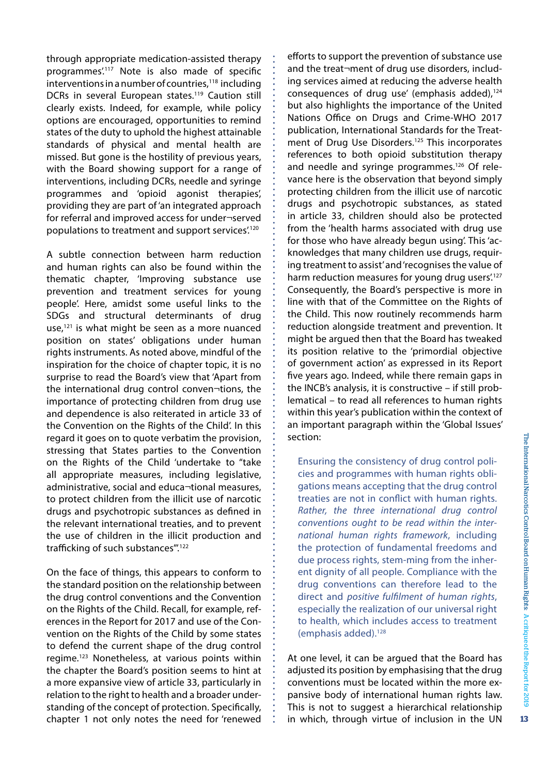through appropriate medication-assisted therapy programmes'.<sup>117</sup> Note is also made of specific interventions in a number of countries,<sup>118</sup> including DCRs in several European states.<sup>119</sup> Caution still clearly exists. Indeed, for example, while policy options are encouraged, opportunities to remind states of the duty to uphold the highest attainable standards of physical and mental health are missed. But gone is the hostility of previous years, with the Board showing support for a range of interventions, including DCRs, needle and syringe programmes and 'opioid agonist therapies', providing they are part of 'an integrated approach for referral and improved access for under¬served populations to treatment and support services'.120

A subtle connection between harm reduction and human rights can also be found within the thematic chapter, 'Improving substance use prevention and treatment services for young people'. Here, amidst some useful links to the SDGs and structural determinants of drug use,121 is what might be seen as a more nuanced position on states' obligations under human rights instruments. As noted above, mindful of the inspiration for the choice of chapter topic, it is no surprise to read the Board's view that 'Apart from the international drug control conven¬tions, the importance of protecting children from drug use and dependence is also reiterated in article 33 of the Convention on the Rights of the Child'. In this regard it goes on to quote verbatim the provision, stressing that States parties to the Convention on the Rights of the Child 'undertake to "take all appropriate measures, including legislative, administrative, social and educa¬tional measures, to protect children from the illicit use of narcotic drugs and psychotropic substances as defined in the relevant international treaties, and to prevent the use of children in the illicit production and trafficking of such substances".<sup>122</sup>

On the face of things, this appears to conform to the standard position on the relationship between the drug control conventions and the Convention on the Rights of the Child. Recall, for example, references in the Report for 2017 and use of the Convention on the Rights of the Child by some states to defend the current shape of the drug control regime.123 Nonetheless, at various points within the chapter the Board's position seems to hint at a more expansive view of article 33, particularly in relation to the right to health and a broader understanding of the concept of protection. Specifically, chapter 1 not only notes the need for 'renewed

efforts to support the prevention of substance use and the treat¬ment of drug use disorders, including services aimed at reducing the adverse health consequences of drug use' (emphasis added),<sup>124</sup> but also highlights the importance of the United Nations Office on Drugs and Crime-WHO 2017 publication, International Standards for the Treatment of Drug Use Disorders.<sup>125</sup> This incorporates references to both opioid substitution therapy and needle and syringe programmes.<sup>126</sup> Of relevance here is the observation that beyond simply protecting children from the illicit use of narcotic drugs and psychotropic substances, as stated in article 33, children should also be protected from the 'health harms associated with drug use for those who have already begun using'. This 'acknowledges that many children use drugs, requiring treatment to assist'and'recognisesthe value of harm reduction measures for young drug users.<sup>127</sup> Consequently, the Board's perspective is more in line with that of the Committee on the Rights of the Child. This now routinely recommends harm reduction alongside treatment and prevention. It might be argued then that the Board has tweaked its position relative to the 'primordial objective of government action' as expressed in its Report five years ago. Indeed, while there remain gaps in the INCB's analysis, it is constructive – if still problematical – to read all references to human rights within this year's publication within the context of an important paragraph within the 'Global Issues' section:

Ensuring the consistency of drug control policies and programmes with human rights obligations means accepting that the drug control treaties are not in conflict with human rights. *Rather, the three international drug control conventions ought to be read within the international human rights framework*, including the protection of fundamental freedoms and due process rights, stem-ming from the inherent dignity of all people. Compliance with the drug conventions can therefore lead to the direct and *positive fulfilment of human rights*, especially the realization of our universal right to health, which includes access to treatment (emphasis added).128

At one level, it can be argued that the Board has adjusted its position by emphasising that the drug conventions must be located within the more expansive body of international human rights law. This is not to suggest a hierarchical relationship in which, through virtue of inclusion in the UN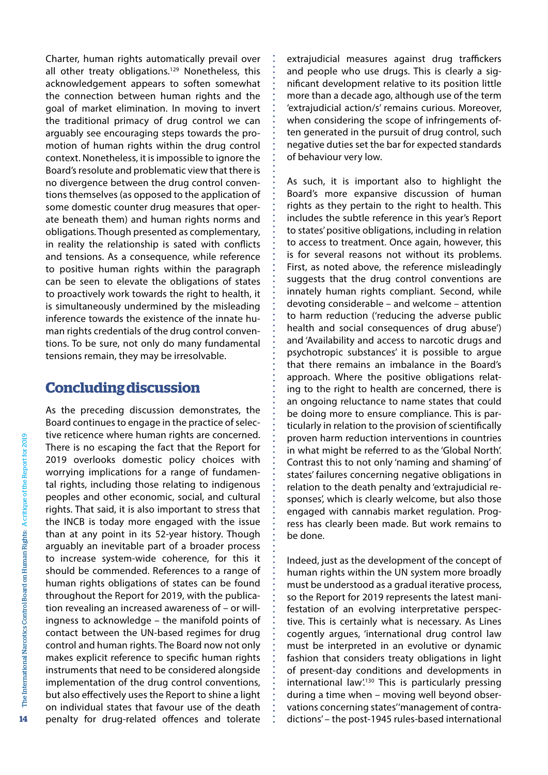Charter, human rights automatically prevail over all other treaty obligations.<sup>129</sup> Nonetheless, this acknowledgement appears to soften somewhat the connection between human rights and the goal of market elimination. In moving to invert the traditional primacy of drug control we can arguably see encouraging steps towards the promotion of human rights within the drug control context. Nonetheless, it is impossible to ignore the Board's resolute and problematic view that there is no divergence between the drug control conventions themselves (as opposed to the application of some domestic counter drug measures that operate beneath them) and human rights norms and obligations. Though presented as complementary, in reality the relationship is sated with conflicts and tensions. As a consequence, while reference to positive human rights within the paragraph can be seen to elevate the obligations of states to proactively work towards the right to health, it is simultaneously undermined by the misleading inference towards the existence of the innate human rights credentials of the drug control conventions. To be sure, not only do many fundamental tensions remain, they may be irresolvable.

#### **Concluding discussion**

As the preceding discussion demonstrates, the Board continues to engage in the practice of selective reticence where human rights are concerned. There is no escaping the fact that the Report for 2019 overlooks domestic policy choices with worrying implications for a range of fundamental rights, including those relating to indigenous peoples and other economic, social, and cultural rights. That said, it is also important to stress that the INCB is today more engaged with the issue than at any point in its 52-year history. Though arguably an inevitable part of a broader process to increase system-wide coherence, for this it should be commended. References to a range of human rights obligations of states can be found throughout the Report for 2019, with the publication revealing an increased awareness of – or willingness to acknowledge – the manifold points of contact between the UN-based regimes for drug control and human rights. The Board now not only makes explicit reference to specific human rights instruments that need to be considered alongside implementation of the drug control conventions, but also effectively uses the Report to shine a light on individual states that favour use of the death penalty for drug-related offences and tolerate

extrajudicial measures against drug traffickers and people who use drugs. This is clearly a significant development relative to its position little more than a decade ago, although use of the term 'extrajudicial action/s' remains curious. Moreover, when considering the scope of infringements often generated in the pursuit of drug control, such negative duties set the bar for expected standards of behaviour very low.

As such, it is important also to highlight the Board's more expansive discussion of human rights as they pertain to the right to health. This includes the subtle reference in this year's Report to states'positive obligations, including in relation to access to treatment. Once again, however, this is for several reasons not without its problems. First, as noted above, the reference misleadingly suggests that the drug control conventions are innately human rights compliant. Second, while devoting considerable – and welcome – attention to harm reduction ('reducing the adverse public health and social consequences of drug abuse') and 'Availability and access to narcotic drugs and psychotropic substances' it is possible to argue that there remains an imbalance in the Board's approach. Where the positive obligations relating to the right to health are concerned, there is an ongoing reluctance to name states that could be doing more to ensure compliance. This is particularly in relation to the provision of scientifically proven harm reduction interventions in countries in what might be referred to as the 'Global North'. Contrast this to not only 'naming and shaming' of states' failures concerning negative obligations in relation to the death penalty and 'extrajudicial responses', which is clearly welcome, but also those engaged with cannabis market regulation. Progress has clearly been made. But work remains to be done.

Indeed, just as the development of the concept of human rights within the UN system more broadly must be understood as a gradual iterative process, so the Report for 2019 represents the latest manifestation of an evolving interpretative perspective. This is certainly what is necessary. As Lines cogently argues, 'international drug control law must be interpreted in an evolutive or dynamic fashion that considers treaty obligations in light of present-day conditions and developments in international law.<sup>130</sup> This is particularly pressing during a time when – moving well beyond observations concerning states''management of contradictions' – the post-1945 rules-based international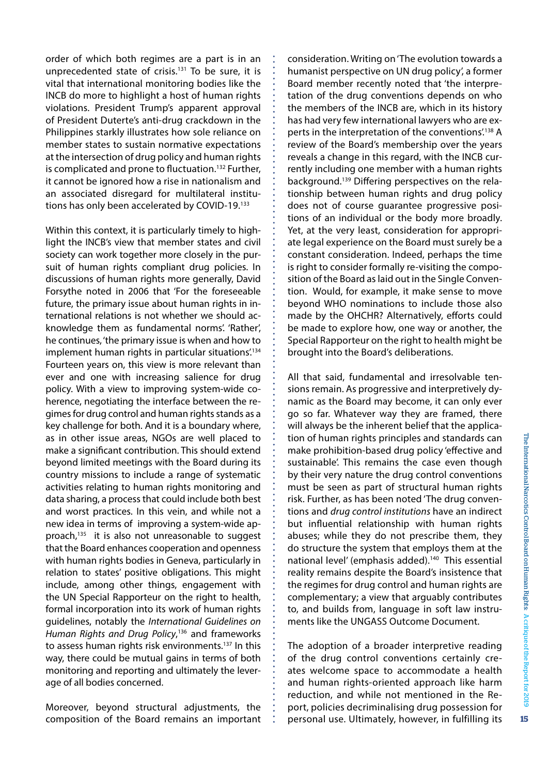order of which both regimes are a part is in an unprecedented state of crisis.<sup>131</sup> To be sure, it is vital that international monitoring bodies like the INCB do more to highlight a host of human rights violations. President Trump's apparent approval of President Duterte's anti-drug crackdown in the Philippines starkly illustrates how sole reliance on member states to sustain normative expectations at the intersection of drug policy and human rights is complicated and prone to fluctuation.<sup>132</sup> Further, it cannot be ignored how a rise in nationalism and an associated disregard for multilateral institutions has only been accelerated by COVID-19.<sup>133</sup>

Within this context, it is particularly timely to highlight the INCB's view that member states and civil society can work together more closely in the pursuit of human rights compliant drug policies. In discussions of human rights more generally, David Forsythe noted in 2006 that 'For the foreseeable future, the primary issue about human rights in international relations is not whether we should acknowledge them as fundamental norms'. 'Rather', he continues, 'the primary issue is when and how to implement human rights in particular situations.<sup>134</sup> Fourteen years on, this view is more relevant than ever and one with increasing salience for drug policy. With a view to improving system-wide coherence, negotiating the interface between the regimes for drug control and human rights stands as a key challenge for both. And it is a boundary where, as in other issue areas, NGOs are well placed to make a significant contribution. This should extend beyond limited meetings with the Board during its country missions to include a range of systematic activities relating to human rights monitoring and data sharing, a process that could include both best and worst practices. In this vein, and while not a new idea in terms of improving a system-wide approach,<sup>135</sup> it is also not unreasonable to suggest that the Board enhances cooperation and openness with human rights bodies in Geneva, particularly in relation to states' positive obligations. This might include, among other things, engagement with the UN Special Rapporteur on the right to health, formal incorporation into its work of human rights guidelines, notably the *International Guidelines on Human Rights and Drug Policy*, <sup>136</sup> and frameworks to assess human rights risk environments.<sup>137</sup> In this way, there could be mutual gains in terms of both monitoring and reporting and ultimately the leverage of all bodies concerned.

Moreover, beyond structural adjustments, the composition of the Board remains an important

consideration. Writing on'The evolution towards a humanist perspective on UN drug policy', a former Board member recently noted that 'the interpretation of the drug conventions depends on who the members of the INCB are, which in its history has had very few international lawyers who are experts in the interpretation of the conventions.<sup>138</sup> A review of the Board's membership over the years reveals a change in this regard, with the INCB currently including one member with a human rights background.139 Differing perspectives on the relationship between human rights and drug policy does not of course guarantee progressive positions of an individual or the body more broadly. Yet, at the very least, consideration for appropriate legal experience on the Board must surely be a constant consideration. Indeed, perhaps the time is right to consider formally re-visiting the composition of the Board as laid out in the Single Convention. Would, for example, it make sense to move beyond WHO nominations to include those also made by the OHCHR? Alternatively, efforts could be made to explore how, one way or another, the Special Rapporteur on the right to health might be brought into the Board's deliberations.

All that said, fundamental and irresolvable tensions remain. As progressive and interpretively dynamic as the Board may become, it can only ever go so far. Whatever way they are framed, there will always be the inherent belief that the application of human rights principles and standards can make prohibition-based drug policy 'effective and sustainable'. This remains the case even though by their very nature the drug control conventions must be seen as part of structural human rights risk. Further, as has been noted 'The drug conventions and *drug control institutions* have an indirect but influential relationship with human rights abuses; while they do not prescribe them, they do structure the system that employs them at the national level' (emphasis added).<sup>140</sup> This essential reality remains despite the Board's insistence that the regimes for drug control and human rights are complementary; a view that arguably contributes to, and builds from, language in soft law instruments like the UNGASS Outcome Document.

The adoption of a broader interpretive reading of the drug control conventions certainly creates welcome space to accommodate a health and human rights-oriented approach like harm reduction, and while not mentioned in the Report, policies decriminalising drug possession for personal use. Ultimately, however, in fulfilling its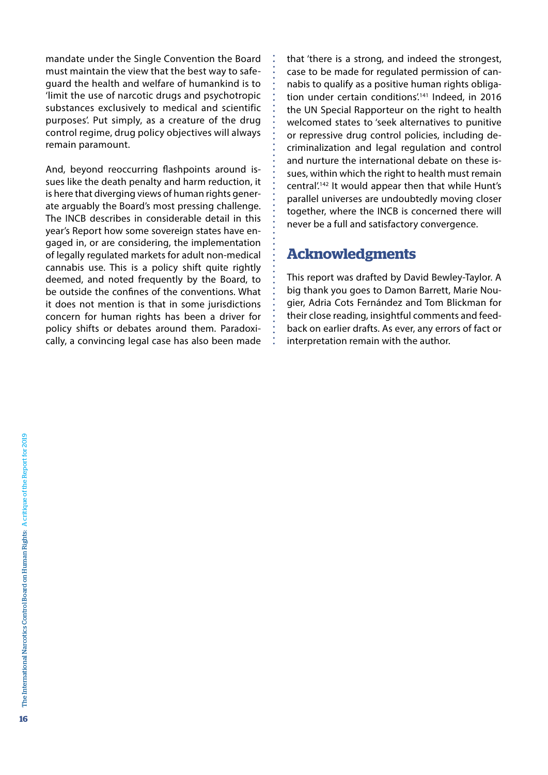mandate under the Single Convention the Board must maintain the view that the best way to safeguard the health and welfare of humankind is to 'limit the use of narcotic drugs and psychotropic substances exclusively to medical and scientific purposes'. Put simply, as a creature of the drug control regime, drug policy objectives will always remain paramount.

And, beyond reoccurring flashpoints around issues like the death penalty and harm reduction, it is here that diverging views of human rights generate arguably the Board's most pressing challenge. The INCB describes in considerable detail in this year's Report how some sovereign states have engaged in, or are considering, the implementation of legally regulated markets for adult non-medical cannabis use. This is a policy shift quite rightly deemed, and noted frequently by the Board, to be outside the confines of the conventions. What it does not mention is that in some jurisdictions concern for human rights has been a driver for policy shifts or debates around them. Paradoxically, a convincing legal case has also been made that 'there is a strong, and indeed the strongest, case to be made for regulated permission of cannabis to qualify as a positive human rights obligation under certain conditions.<sup>141</sup> Indeed, in 2016 the UN Special Rapporteur on the right to health welcomed states to 'seek alternatives to punitive or repressive drug control policies, including decriminalization and legal regulation and control and nurture the international debate on these issues, within which the right to health must remain central'.142 It would appear then that while Hunt's parallel universes are undoubtedly moving closer together, where the INCB is concerned there will never be a full and satisfactory convergence.

#### **Acknowledgments**

This report was drafted by David Bewley-Taylor. A big thank you goes to Damon Barrett, Marie Nougier, Adria Cots Fernández and Tom Blickman for their close reading, insightful comments and feedback on earlier drafts. As ever, any errors of fact or interpretation remain with the author.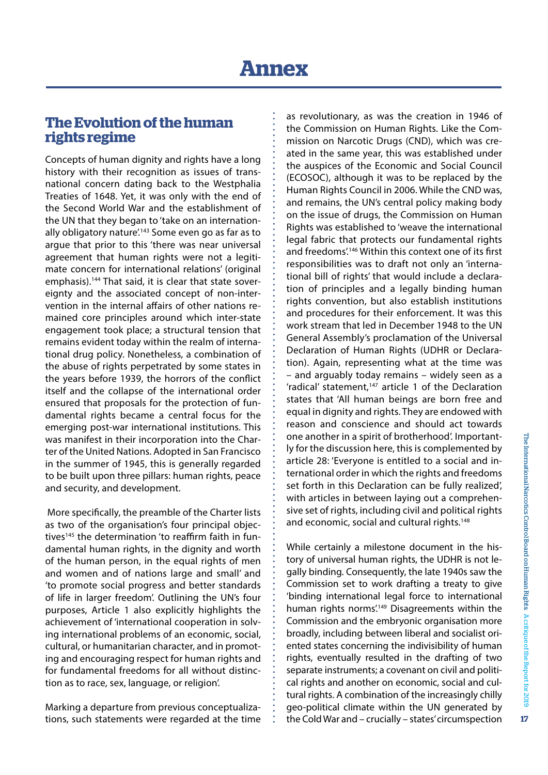#### **The Evolution of the human rights regime**

Concepts of human dignity and rights have a long history with their recognition as issues of transnational concern dating back to the Westphalia Treaties of 1648. Yet, it was only with the end of the Second World War and the establishment of the UN that they began to 'take on an internationally obligatory nature<sup>'143</sup> Some even go as far as to argue that prior to this 'there was near universal agreement that human rights were not a legitimate concern for international relations' (original emphasis).<sup>144</sup> That said, it is clear that state sovereignty and the associated concept of non-intervention in the internal affairs of other nations remained core principles around which inter-state engagement took place; a structural tension that remains evident today within the realm of international drug policy. Nonetheless, a combination of the abuse of rights perpetrated by some states in the years before 1939, the horrors of the conflict itself and the collapse of the international order ensured that proposals for the protection of fundamental rights became a central focus for the emerging post-war international institutions. This was manifest in their incorporation into the Charter of the United Nations. Adopted in San Francisco in the summer of 1945, this is generally regarded to be built upon three pillars: human rights, peace and security, and development.

More specifically, the preamble of the Charter lists as two of the organisation's four principal objectives<sup>145</sup> the determination 'to reaffirm faith in fundamental human rights, in the dignity and worth of the human person, in the equal rights of men and women and of nations large and small' and 'to promote social progress and better standards of life in larger freedom'. Outlining the UN's four purposes, Article 1 also explicitly highlights the achievement of 'international cooperation in solving international problems of an economic, social, cultural, or humanitarian character, and in promoting and encouraging respect for human rights and for fundamental freedoms for all without distinction as to race, sex, language, or religion'.

Marking a departure from previous conceptualizations, such statements were regarded at the time as revolutionary, as was the creation in 1946 of the Commission on Human Rights. Like the Commission on Narcotic Drugs (CND), which was created in the same year, this was established under the auspices of the Economic and Social Council (ECOSOC), although it was to be replaced by the Human Rights Council in 2006. While the CND was, and remains, the UN's central policy making body on the issue of drugs, the Commission on Human Rights was established to 'weave the international legal fabric that protects our fundamental rights and freedoms'.<sup>146</sup> Within this context one of its first responsibilities was to draft not only an 'international bill of rights' that would include a declaration of principles and a legally binding human rights convention, but also establish institutions and procedures for their enforcement. It was this work stream that led in December 1948 to the UN General Assembly's proclamation of the Universal Declaration of Human Rights (UDHR or Declaration). Again, representing what at the time was – and arguably today remains – widely seen as a 'radical' statement,<sup>147</sup> article 1 of the Declaration states that 'All human beings are born free and equal in dignity and rights. They are endowed with reason and conscience and should act towards one another in a spirit of brotherhood'. Importantly for the discussion here, this is complemented by article 28: 'Everyone is entitled to a social and international order in which the rights and freedoms set forth in this Declaration can be fully realized', with articles in between laying out a comprehensive set of rights, including civil and political rights and economic, social and cultural rights.<sup>148</sup>

While certainly a milestone document in the history of universal human rights, the UDHR is not legally binding. Consequently, the late 1940s saw the Commission set to work drafting a treaty to give 'binding international legal force to international human rights norms.<sup>149</sup> Disagreements within the Commission and the embryonic organisation more broadly, including between liberal and socialist oriented states concerning the indivisibility of human rights, eventually resulted in the drafting of two separate instruments; a covenant on civil and political rights and another on economic, social and cultural rights. A combination of the increasingly chilly geo-political climate within the UN generated by the ColdWar and – crucially – states'circumspection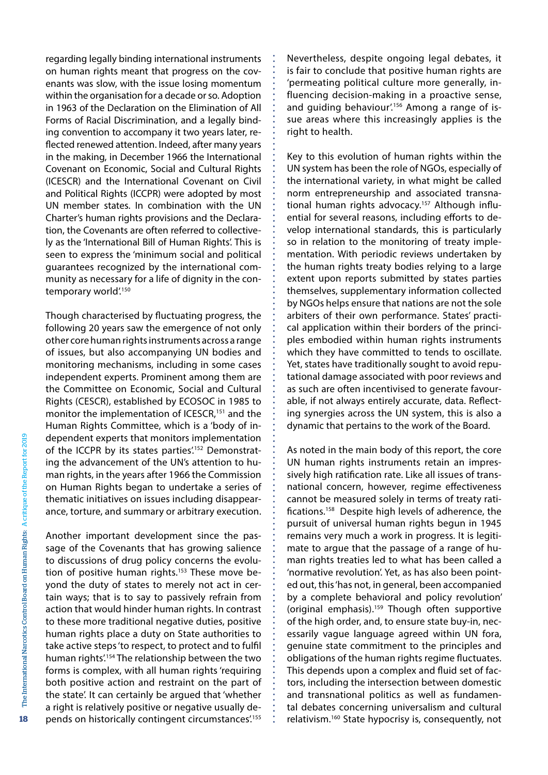regarding legally binding international instruments on human rights meant that progress on the covenants was slow, with the issue losing momentum within the organisation for a decade or so. Adoption in 1963 of the Declaration on the Elimination of All Forms of Racial Discrimination, and a legally binding convention to accompany it two years later, reflected renewed attention. Indeed, after many years in the making, in December 1966 the International Covenant on Economic, Social and Cultural Rights (ICESCR) and the International Covenant on Civil and Political Rights (ICCPR) were adopted by most UN member states. In combination with the UN Charter's human rights provisions and the Declaration, the Covenants are often referred to collectively as the 'International Bill of Human Rights'. This is seen to express the 'minimum social and political guarantees recognized by the international community as necessary for a life of dignity in the contemporary world'.<sup>150</sup>

Though characterised by fluctuating progress, the following 20 years saw the emergence of not only other core human rightsinstruments across a range of issues, but also accompanying UN bodies and monitoring mechanisms, including in some cases independent experts. Prominent among them are the Committee on Economic, Social and Cultural Rights (CESCR), established by ECOSOC in 1985 to monitor the implementation of ICESCR,<sup>151</sup> and the Human Rights Committee, which is a 'body of independent experts that monitors implementation of the ICCPR by its states parties.<sup>152</sup> Demonstrating the advancement of the UN's attention to human rights, in the years after 1966 the Commission on Human Rights began to undertake a series of thematic initiatives on issues including disappearance, torture, and summary or arbitrary execution.

Another important development since the passage of the Covenants that has growing salience to discussions of drug policy concerns the evolution of positive human rights.<sup>153</sup> These move beyond the duty of states to merely not act in certain ways; that is to say to passively refrain from action that would hinder human rights. In contrast to these more traditional negative duties, positive human rights place a duty on State authorities to take active steps'to respect, to protect and to fulfil human rights<sup>'154</sup> The relationship between the two forms is complex, with all human rights 'requiring both positive action and restraint on the part of the state'. It can certainly be argued that 'whether a right is relatively positive or negative usually depends on historically contingent circumstances.<sup>155</sup> Nevertheless, despite ongoing legal debates, it is fair to conclude that positive human rights are 'permeating political culture more generally, influencing decision-making in a proactive sense, and quiding behaviour.<sup>156</sup> Among a range of issue areas where this increasingly applies is the right to health.

Key to this evolution of human rights within the UN system has been the role of NGOs, especially of the international variety, in what might be called norm entrepreneurship and associated transnational human rights advocacy.<sup>157</sup> Although influential for several reasons, including efforts to develop international standards, this is particularly so in relation to the monitoring of treaty implementation. With periodic reviews undertaken by the human rights treaty bodies relying to a large extent upon reports submitted by states parties themselves, supplementary information collected by NGOs helps ensure that nations are not the sole arbiters of their own performance. States' practical application within their borders of the principles embodied within human rights instruments which they have committed to tends to oscillate. Yet, states have traditionally sought to avoid reputational damage associated with poor reviews and as such are often incentivised to generate favourable, if not always entirely accurate, data. Reflecting synergies across the UN system, this is also a dynamic that pertains to the work of the Board.

As noted in the main body of this report, the core UN human rights instruments retain an impressively high ratification rate. Like all issues of transnational concern, however, regime effectiveness cannot be measured solely in terms of treaty ratifications.158 Despite high levels of adherence, the pursuit of universal human rights begun in 1945 remains very much a work in progress. It is legitimate to argue that the passage of a range of human rights treaties led to what has been called a 'normative revolution'. Yet, as has also been pointed out, this'has not, in general, been accompanied by a complete behavioral and policy revolution' (original emphasis).159 Though often supportive of the high order, and, to ensure state buy-in, necessarily vague language agreed within UN fora, genuine state commitment to the principles and obligations of the human rights regime fluctuates. This depends upon a complex and fluid set of factors, including the intersection between domestic and transnational politics as well as fundamental debates concerning universalism and cultural relativism.160 State hypocrisy is, consequently, not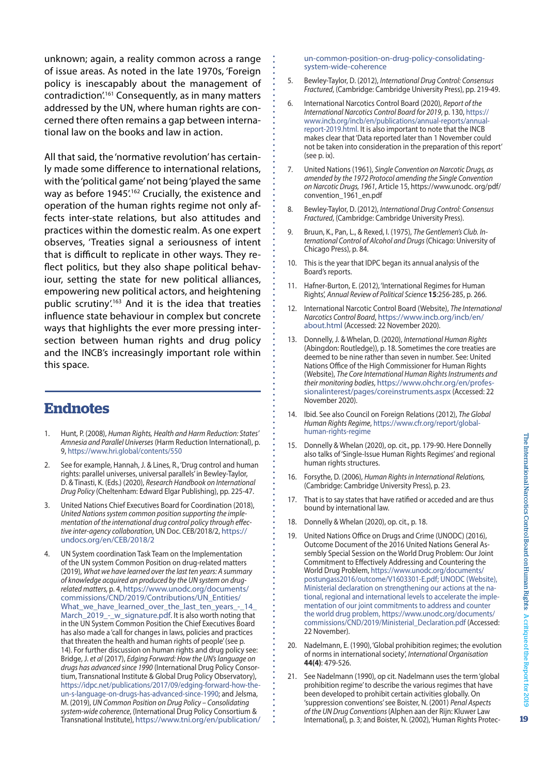unknown; again, a reality common across a range of issue areas. As noted in the late 1970s, 'Foreign policy is inescapably about the management of contradiction'.161 Consequently, as in many matters addressed by the UN, where human rights are concerned there often remains a gap between international law on the books and law in action.

All that said, the 'normative revolution'has certainly made some difference to international relations, with the'political game'not being'played the same way as before 1945'.<sup>162</sup> Crucially, the existence and operation of the human rights regime not only affects inter-state relations, but also attitudes and practices within the domestic realm. As one expert observes, 'Treaties signal a seriousness of intent that is difficult to replicate in other ways. They reflect politics, but they also shape political behaviour, setting the state for new political alliances, empowering new political actors, and heightening public scrutiny'.163 And it is the idea that treaties influence state behaviour in complex but concrete ways that highlights the ever more pressing intersection between human rights and drug policy and the INCB's increasingly important role within this space.

#### **Endnotes**

- 1. Hunt, P. (2008), *Human Rights, Health and Harm Reduction: States' Amnesia and Parallel Universes* (Harm Reduction International), p. 9, <https://www.hri.global/contents/550>
- 2. See for example, Hannah, J. & Lines, R., 'Drug control and human rights: parallel universes, universal parallels' in Bewley-Taylor, D. & Tinasti, K. (Eds.) (2020), *Research Handbook on International Drug Policy* (Cheltenham: Edward Elgar Publishing), pp. 225-47.
- 3. United Nations Chief Executives Board for Coordination (2018), *United Nations system common position supporting the implementation of the international drug control policy through effective inter-agency collaboration*, UN Doc. CEB/2018/2, [https://](https://undocs.org/en/CEB/2018/2) [undocs.org/en/CEB/2018/2](https://undocs.org/en/CEB/2018/2)
- 4. UN System coordination Task Team on the Implementation of the UN system Common Position on drug-related matters (2019), *What we have learned over the last ten years: A summary of knowledge acquired an produced by the UN system on drugrelated matters,* p. 4, [https://www.unodc.org/documents/](https://www.unodc.org/documents/commissions/CND/2019/Contributions/UN_Entities/What_we_have_learned_over_the_last_ten_years_-_14_March_2019_-_w_signature.pdf) [commissions/CND/2019/Contributions/UN\\_Entities/](https://www.unodc.org/documents/commissions/CND/2019/Contributions/UN_Entities/What_we_have_learned_over_the_last_ten_years_-_14_March_2019_-_w_signature.pdf) [What\\_we\\_have\\_learned\\_over\\_the\\_last\\_ten\\_years\\_-\\_14\\_](https://www.unodc.org/documents/commissions/CND/2019/Contributions/UN_Entities/What_we_have_learned_over_the_last_ten_years_-_14_March_2019_-_w_signature.pdf) [March\\_2019\\_-\\_w\\_signature.pdf](https://www.unodc.org/documents/commissions/CND/2019/Contributions/UN_Entities/What_we_have_learned_over_the_last_ten_years_-_14_March_2019_-_w_signature.pdf). It is also worth noting that in the UN System Common Position the Chief Executives Board has also made a 'call for changes in laws, policies and practices that threaten the health and human rights of people'(see p. 14). For further discussion on human rights and drug policy see: Bridge, J. *et al* (2017), *Edging Forward: How the UN's language on drugs has advanced since 1990* (International Drug Policy Consortium, Transnational Institute & Global Drug Policy Observatory), [https://idpc.net/publications/2017/09/edging-forward-how-the](https://idpc.net/publications/2017/09/edging-forward-how-the-un-s-language-on-drugs-has-advanced-since-1990)[un-s-language-on-drugs-has-advanced-since-1990;](https://idpc.net/publications/2017/09/edging-forward-how-the-un-s-language-on-drugs-has-advanced-since-1990) and Jelsma, M. (2019), *UN Common Position on Drug Policy – Consolidating system-wide coherence*, (International Drug Policy Consortium & Transnational Institute), [https://www.tni.org/en/publication/](https://www.tni.org/en/publication/un-common-position-on-drug-policy-consolidating-system-wide-coherence)

[un-common-position-on-drug-policy-consolidating](https://www.tni.org/en/publication/un-common-position-on-drug-policy-consolidating-system-wide-coherence)[system-wide-coherence](https://www.tni.org/en/publication/un-common-position-on-drug-policy-consolidating-system-wide-coherence)

- 5. Bewley-Taylor, D. (2012), *International Drug Control: Consensus Fractured*, (Cambridge: Cambridge University Press), pp. 219-49.
- 6. International Narcotics Control Board (2020), *Report of the International Narcotics Control Board for 2019*, p. 130, [https://](https://www.incb.org/incb/en/publications/annual-reports/annual-report-2019.html) [www.incb.org/incb/en/publications/annual-reports/annual](https://www.incb.org/incb/en/publications/annual-reports/annual-report-2019.html)[report-2019.html](https://www.incb.org/incb/en/publications/annual-reports/annual-report-2019.html). It is also important to note that the INCB makes clear that'Data reported later than 1 November could not be taken into consideration in the preparation of this report'  $($ see p.  $ix)$ .
- 7. United Nations (1961), *Single Convention on Narcotic Drugs, as amended by the 1972 Protocol amending the Single Convention on Narcotic Drugs, 1961*, Article 15, https://www.unodc. org/pdf/ convention\_1961\_en.pdf
- 8. Bewley-Taylor, D. (2012), *International Drug Control: Consensus Fractured*, (Cambridge: Cambridge University Press).
- 9. Bruun, K., Pan, L., & Rexed, I. (1975), *The Gentlemen's Club. International Control of Alcohol and Drugs* (Chicago: University of Chicago Press), p. 84.
- 10. This is the year that IDPC began its annual analysis of the Board's reports.
- 11. Hafner-Burton, E. (2012), 'International Regimes for Human Rights', *Annual Review of Political Science* **15**:256-285, p. 266.
- 12. International Narcotic Control Board (Website), *The International Narcotics Control Board*, [https://www.incb.org/incb/en/](https://www.incb.org/incb/en/about.html) [about.html](https://www.incb.org/incb/en/about.html) (Accessed: 22 November 2020).
- 13. Donnelly, J. & Whelan, D. (2020), *International Human Rights*  (Abingdon: Routledge)), p. 18. Sometimes the core treaties are deemed to be nine rather than seven in number. See: United Nations Office of the High Commissioner for Human Rights (Website), *The Core International Human Rights Instruments and their monitoring bodies*, [https://www.ohchr.org/en/profes](https://www.ohchr.org/en/professionalinterest/pages/coreinstruments.aspx)[sionalinterest/pages/coreinstruments.aspx](https://www.ohchr.org/en/professionalinterest/pages/coreinstruments.aspx) (Accessed: 22 November 2020).
- 14. Ibid. See also Council on Foreign Relations (2012), *The Global Human Rights Regime*, [https://www.cfr.org/report/global](https://www.cfr.org/report/global-human-rights-regime)[human-rights-regime](https://www.cfr.org/report/global-human-rights-regime)
- 15. Donnelly & Whelan (2020), op. cit., pp. 179-90. Here Donnelly also talks of'Single-Issue Human Rights Regimes' and regional human rights structures.
- 16. Forsythe, D. (2006), *Human Rights in International Relations,*  (Cambridge: Cambridge University Press), p. 23.
- 17. That is to say states that have ratified or acceded and are thus bound by international law.
- 18. Donnelly & Whelan (2020), op. cit., p. 18.
- 19. United Nations Office on Drugs and Crime (UNODC) (2016), Outcome Document of the 2016 United Nations General Assembly Special Session on the World Drug Problem: Our Joint Commitment to Effectively Addressing and Countering the World Drug Problem, [https://www.unodc.org/documents/](https://www.unodc.org/documents/postungass2016/outcome/V1603301-E.pdf%3B%20UNODC%20%28Website%29%2C%20Ministerial%20declaration%20on%20strengthening%20our%20actions%20at%20the%20national%2C%20regional%20and%20international%20levels%20to%20accelerate%20the%20implementation%20of%20our%20joint%20commitments%20to%20address%20and%20counter%20the%20world%20drug%20problem%2C%20https://www.unodc.org/documents/commissions/CND/2019/Ministerial_Declaration.pdf) [postungass2016/outcome/V1603301-E.pdf;](https://www.unodc.org/documents/postungass2016/outcome/V1603301-E.pdf%3B%20UNODC%20%28Website%29%2C%20Ministerial%20declaration%20on%20strengthening%20our%20actions%20at%20the%20national%2C%20regional%20and%20international%20levels%20to%20accelerate%20the%20implementation%20of%20our%20joint%20commitments%20to%20address%20and%20counter%20the%20world%20drug%20problem%2C%20https://www.unodc.org/documents/commissions/CND/2019/Ministerial_Declaration.pdf) UNODC (Website), Ministerial declaration on [strengthening](https://www.unodc.org/documents/postungass2016/outcome/V1603301-E.pdf%3B%20UNODC%20%28Website%29%2C%20Ministerial%20declaration%20on%20strengthening%20our%20actions%20at%20the%20national%2C%20regional%20and%20international%20levels%20to%20accelerate%20the%20implementation%20of%20our%20joint%20commitments%20to%20address%20and%20counter%20the%20world%20drug%20problem%2C%20https://www.unodc.org/documents/commissions/CND/2019/Ministerial_Declaration.pdf) our actions at the national, regional and [international](https://www.unodc.org/documents/postungass2016/outcome/V1603301-E.pdf%3B%20UNODC%20%28Website%29%2C%20Ministerial%20declaration%20on%20strengthening%20our%20actions%20at%20the%20national%2C%20regional%20and%20international%20levels%20to%20accelerate%20the%20implementation%20of%20our%20joint%20commitments%20to%20address%20and%20counter%20the%20world%20drug%20problem%2C%20https://www.unodc.org/documents/commissions/CND/2019/Ministerial_Declaration.pdf) levels to accelerate the implementation of our joint [commitments](https://www.unodc.org/documents/postungass2016/outcome/V1603301-E.pdf%3B%20UNODC%20%28Website%29%2C%20Ministerial%20declaration%20on%20strengthening%20our%20actions%20at%20the%20national%2C%20regional%20and%20international%20levels%20to%20accelerate%20the%20implementation%20of%20our%20joint%20commitments%20to%20address%20and%20counter%20the%20world%20drug%20problem%2C%20https://www.unodc.org/documents/commissions/CND/2019/Ministerial_Declaration.pdf) to address and counter the world drug problem, [https://www.unodc.org/documents/](https://www.unodc.org/documents/postungass2016/outcome/V1603301-E.pdf%3B%20UNODC%20%28Website%29%2C%20Ministerial%20declaration%20on%20strengthening%20our%20actions%20at%20the%20national%2C%20regional%20and%20international%20levels%20to%20accelerate%20the%20implementation%20of%20our%20joint%20commitments%20to%20address%20and%20counter%20the%20world%20drug%20problem%2C%20https://www.unodc.org/documents/commissions/CND/2019/Ministerial_Declaration.pdf) [commissions/CND/2019/Ministerial\\_Declaration.pdf](https://www.unodc.org/documents/postungass2016/outcome/V1603301-E.pdf%3B%20UNODC%20%28Website%29%2C%20Ministerial%20declaration%20on%20strengthening%20our%20actions%20at%20the%20national%2C%20regional%20and%20international%20levels%20to%20accelerate%20the%20implementation%20of%20our%20joint%20commitments%20to%20address%20and%20counter%20the%20world%20drug%20problem%2C%20https://www.unodc.org/documents/commissions/CND/2019/Ministerial_Declaration.pdf) (Accessed: 22 November).
- 20. Nadelmann, E. (1990), 'Global prohibition regimes; the evolution of norms in international society', *International Organisation* **44(4)**: 479-526.
- 21. See Nadelmann (1990), op cit. Nadelmann uses the term 'global prohibition regime'to describe the various regimes that have been developed to prohibit certain activities globally. On 'suppression conventions'see Boister, N. (2001) *Penal Aspects of the UN Drug Conventions* (Alphen aan der Rijn: Kluwer Law International)*,* p. 3; and Boister, N. (2002), 'Human Rights Protec-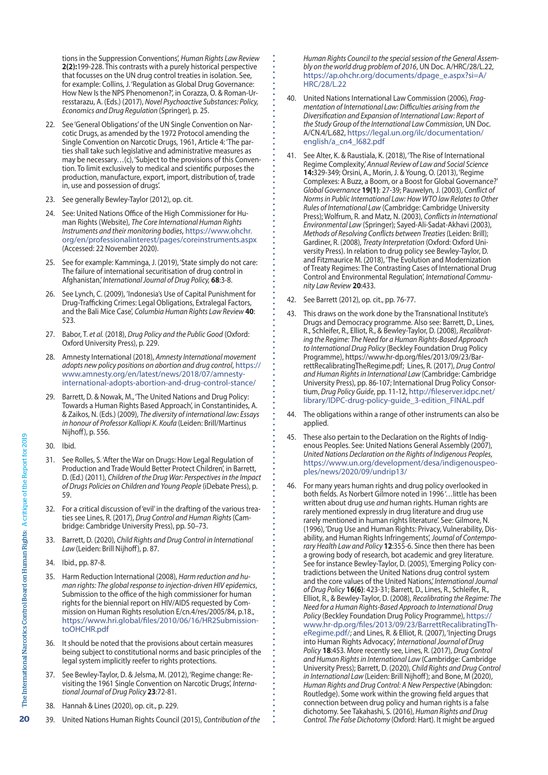tions in the Suppression Conventions', *Human Rights Law Review* **2(2):**199-228. This contrasts with a purely historical perspective that focusses on the UN drug control treaties in isolation. See, for example: Collins, J. 'Regulation as Global Drug Governance: How New Is the NPS Phenomenon?', in Corazza, O. & Roman-Urresstarazu, A. (Eds.) (2017), *Novel Psychoactive Substances: Policy, Economics and Drug Regulation* (Springer)*,* p. 25.

- 22. See 'General Obligations' of the UN Single Convention on Narcotic Drugs, as amended by the 1972 Protocol amending the Single Convention on Narcotic Drugs, 1961, Article 4: 'The parties shall take such legislative and administrative measures as may be necessary... $(c)$ , 'Subject to the provisions of this Convention. To limit exclusively to medical and scientific purposes the production, manufacture, export, import, distribution of, trade in, use and possession of drugs'.
- 23. See generally Bewley-Taylor (2012), op. cit.
- 24. See: United Nations Office of the High Commissioner for Human Rights (Website), *The Core International Human Rights Instruments and their monitoring bodies*, [https://www.ohchr.](https://www.ohchr.org/en/professionalinterest/pages/coreinstruments.aspx) [org/en/professionalinterest/pages/coreinstruments.aspx](https://www.ohchr.org/en/professionalinterest/pages/coreinstruments.aspx) (Accessed: 22 November 2020).
- 25. See for example: Kamminga, J. (2019), 'State simply do not care: The failure of international securitisation of drug control in Afghanistan,' *International Journal of Drug Policy,* **68**:3-8.
- 26. See Lynch, C. (2009), 'Indonesia's Use of Capital Punishment for Drug-Trafficking Crimes: Legal Obligations, Extralegal Factors, and the Bali Mice Case', *Columbia Human Rights Law Review* **40**: 523.
- 27. Babor, T. *et al.* (2018), *Drug Policy and the Public Good* (Oxford: Oxford University Press), p. 229.
- 28. Amnesty International (2018), *Amnesty International movement adopts new policy positions on abortion and drug control*, [https://](https://www.amnesty.org/en/latest/news/2018/07/amnesty-international-adopts-abortion-and-drug-control-stance/) [www.amnesty.org/en/latest/news/2018/07/amnesty](https://www.amnesty.org/en/latest/news/2018/07/amnesty-international-adopts-abortion-and-drug-control-stance/)[international-adopts-abortion-and-drug-control-stance/](https://www.amnesty.org/en/latest/news/2018/07/amnesty-international-adopts-abortion-and-drug-control-stance/)
- 29. Barrett, D. & Nowak, M., 'The United Nations and Drug Policy: Towards a Human Rights Based Approach', in Constantinides, A. & Zaikos, N. (Eds.) (2009), *The diversity of international law: Essays in honour of Professor Kalliopi K. Koufa* (Leiden: Brill/Martinus Nijhoff), p. 556.
- 30. Ibid.
- 31. See Rolles, S. 'After the War on Drugs: How Legal Regulation of Production and Trade Would Better Protect Children', in Barrett, D. (Ed.) (2011), *Children of the Drug War: Perspectives in the Impact of Drugs Policies on Children and Young People* (iDebate Press), p. 59.
- 32. For a critical discussion of 'evil' in the drafting of the various treaties see Lines, R. (2017), *Drug Control and Human Rights* (Cambridge: Cambridge University Press), pp. 50–73.
- 33. Barrett, D. (2020), *Child Rights and Drug Control in International Law* (Leiden: Brill Nijhoff), p. 87.
- 34. Ibid., pp. 87-8.
- 35. Harm Reduction International (2008), *Harm reduction and human rights: The global response to injection-driven HIV epidemics*, Submission to the office of the high commissioner for human rights for the biennial report on HIV/AIDS requested by Commission on Human Rights resolution E/cn.4/res/2005/84, p.18., [https://www.hri.global/files/2010/06/16/HR2Submission](https://www.hri.global/files/2010/06/16/HR2SubmissiontoOHCHR.pdf)[toOHCHR.pdf](https://www.hri.global/files/2010/06/16/HR2SubmissiontoOHCHR.pdf)
- 36. It should be noted that the provisions about certain measures being subject to constitutional norms and basic principles of the legal system implicitly reefer to rights protections.
- 37. See Bewley-Taylor, D. & Jelsma, M. (2012), 'Regime change: Revisiting the 1961 Single Convention on Narcotic Drugs', *International Journal of Drug Policy* **23**:72-81.
- 38. Hannah & Lines (2020), op. cit., p. 229.
- 39. United Nations Human Rights Council (2015), *Contribution of the*

*Human Rights Council to the special session of the General Assembly on the world drug problem of 2016*, UN Doc. A/HRC/28/L.22, [https://ap.ohchr.org/documents/dpage\\_e.aspx?si=A/](https://ap.ohchr.org/documents/dpage_e.aspx?si=A/HRC/28/L.22) [HRC/28/L.22](https://ap.ohchr.org/documents/dpage_e.aspx?si=A/HRC/28/L.22)

- 40. United Nations International Law Commission (2006), *Fragmentation of International Law: Difficulties arising from the Diversification and Expansion of International Law: Report of the Study Group of the International Law Commission*, UN Doc. A/CN.4/L.682, [https://legal.un.org/ilc/documentation/](https://legal.un.org/ilc/documentation/english/a_cn4_l682.pdf) [english/a\\_cn4\\_l682.pdf](https://legal.un.org/ilc/documentation/english/a_cn4_l682.pdf)
- 41. See Alter, K. & Raustiala, K. (2018), 'The Rise of International Regime Complexity,'*Annual Review of Law and Social Science* **14:**329-349; Orsini, A., Morin, J. & Young, O. (2013), 'Regime Complexes: A Buzz, a Boom, or a Boost for Global Governance?' *Global Governance* **19(1)**: 27-39; Pauwelyn, J. (2003), *Conflict of Norms in Public International Law: How WTO law Relates to Other Rules of International Law* (Cambridge: Cambridge University Press); Wolfrum, R. and Matz, N. (2003), *Conflicts in International Environmental Law* (Springer); Sayed-Ali-Sadat-Akhavi (2003), *Methods of Resolving Conflicts between Treaties* (Leiden: Brill); Gardiner, R. (2008), *Treaty Interpretation* (Oxford: Oxford University Press). In relation to drug policy see Bewley-Taylor, D. and Fitzmaurice M. (2018), 'The Evolution and Modernization of Treaty Regimes: The Contrasting Cases of International Drug Control and Environmental Regulation', *International Community Law Review* **20**:433.
- 42. See Barrett (2012), op. cit., pp. 76-77.
- 43. This draws on the work done by the Transnational Institute's Drugs and Democracy programme. Also see: Barrett, D., Lines, R., Schleifer, R., Elliot, R., & Bewley-Taylor, D. (2008), *Recalibrating the Regime: The Need for a Human Rights-Based Approach to International Drug Policy* (Beckley Foundation Drug Policy Programme), https://www.hr-dp.org/files/2013/09/23/BarrettRecalibratingTheRegime.pdf; Lines, R. (2017), *Drug Control and Human Rights in International Law* (Cambridge: Cambridge University Press), pp. 86-107; International Drug Policy Consortium, *Drug Policy Guide*, pp. 11-12, [http://fileserver.idpc.net/](http://fileserver.idpc.net/library/IDPC-drug-policy-guide_3-edition_FINAL.pdf) [library/IDPC-drug-policy-guide\\_3-edition\\_FINAL.pdf](http://fileserver.idpc.net/library/IDPC-drug-policy-guide_3-edition_FINAL.pdf)
- 44. The obligations within a range of other instruments can also be applied.
- 45. These also pertain to the Declaration on the Rights of Indigenous Peoples. See: United Nations General Assembly (2007), *United Nations Declaration on the Rights of Indigenous Peoples*, [https://www.un.org/development/desa/indigenouspeo](https://www.un.org/development/desa/indigenouspeoples/news/2020/09/undrip13/)[ples/news/2020/09/undrip13/](https://www.un.org/development/desa/indigenouspeoples/news/2020/09/undrip13/)
- 46. For many years human rights and drug policy overlooked in both fields. As Norbert Gilmore noted in 1996 '…little has been written about drug use *and* human rights. Human rights are rarely mentioned expressly in drug literature and drug use rarely mentioned in human rights literature'. See: Gilmore, N. (1996), 'Drug Use and Human Rights: Privacy, Vulnerability, Disability, and Human Rights Infringements', *Journal of Contemporary Health Law and Policy* **12**:355-6. Since then there has been a growing body of research, bot academic and grey literature. See for instance Bewley-Taylor, D. (2005), 'Emerging Policy contradictions between the United Nations drug control system and the core values of the United Nations,' *International Journal of Drug Policy* **16(6)**: 423-31; Barrett, D., Lines, R., Schleifer, R., Elliot, R., & Bewley-Taylor, D. (2008), *Recalibrating the Regime: The Need for a Human Rights-Based Approach to International Drug Policy* (Beckley Foundation Drug Policy Programme), [https://](https://www.hr-dp.org/files/2013/09/23/BarrettRecalibratingTheRegime.pdf/) [www.hr-dp.org/files/2013/09/23/BarrettRecalibratingTh](https://www.hr-dp.org/files/2013/09/23/BarrettRecalibratingTheRegime.pdf/)[eRegime.pdf/](https://www.hr-dp.org/files/2013/09/23/BarrettRecalibratingTheRegime.pdf/); and Lines, R. & Elliot, R. (2007), 'Injecting Drugs into Human Rights Advocacy', *International Journal of Drug Policy* **18**:453. More recently see, Lines, R. (2017), *Drug Control and Human Rights in International Law* (Cambridge: Cambridge University Press); Barrett, D. (2020), *Child Rights and Drug Control in International Law* (Leiden: Brill Nijhoff); and Bone, M (2020), *Human Rights and Drug Control: A New Perspective* (Abingdon: Routledge). Some work within the growing field argues that connection between drug policy and human rights is a false dichotomy. See Takahashi, S. (2016), *Human Rights and Drug Control. The False Dichotomy* (Oxford: Hart). It might be argued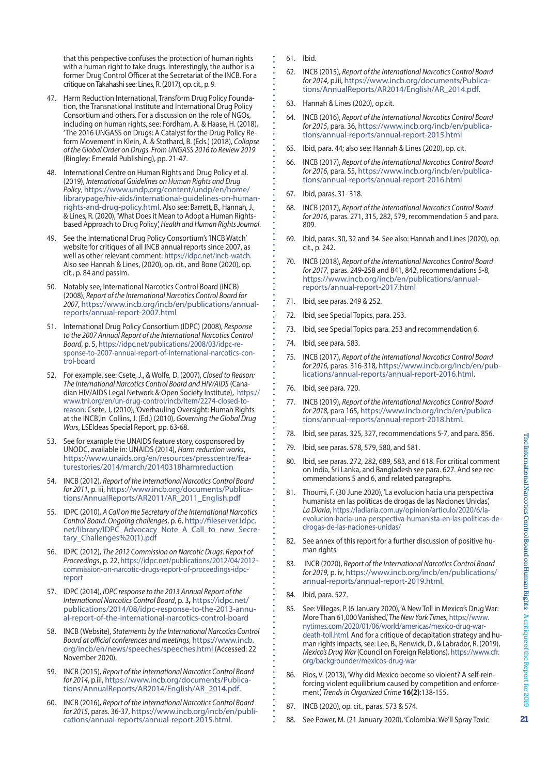that this perspective confuses the protection of human rights with a human right to take drugs. Interestingly, the author is a former Drug Control Officer at the Secretariat of the INCB. For a critique onTakahashisee: Lines, R. (2017), op. cit., p. 9.

- 47. Harm Reduction International, Transform Drug Policy Foundation, the Transnational Institute and International Drug Policy Consortium and others. For a discussion on the role of NGOs, including on human rights, see: Fordham, A. & Haase, H. (2018), 'The 2016 UNGASS on Drugs: A Catalyst for the Drug Policy Reform Movement' in Klein, A. & Stothard, B. (Eds.) (2018), *Collapse of the Global Order on Drugs. From UNGASS 2016 to Review 2019*  (Bingley: Emerald Publishing), pp. 21-47.
- 48. International Centre on Human Rights and Drug Policy et al. (2019), *International Guidelines on Human Rights and Drug Policy*, [https://www.undp.org/content/undp/en/home/](https://www.undp.org/content/undp/en/home/librarypage/hiv-aids/international-guidelines-on-human-rights-and-drug-policy.html) [librarypage/hiv-aids/international-guidelines-on-human](https://www.undp.org/content/undp/en/home/librarypage/hiv-aids/international-guidelines-on-human-rights-and-drug-policy.html)[rights-and-drug-policy.html](https://www.undp.org/content/undp/en/home/librarypage/hiv-aids/international-guidelines-on-human-rights-and-drug-policy.html). Also see: Barrett, B., Hannah, J., & Lines, R. (2020), 'What Doesit Mean to Adopt a Human Rightsbased Approach to Drug Policy', *Health and Human Rights Journal*.
- 49. See the International Drug Policy Consortium's'INCB Watch' website for critiques of all INCB annual reports since 2007, as well as other relevant comment: [https://idpc.net/incb-watch.](https://idpc.net/incb-watch) Also see Hannah & Lines, (2020), op. cit., and Bone (2020), op. cit., p. 84 and passim.
- 50. Notably see, International Narcotics Control Board (INCB) (2008), *Report of the International Narcotics Control Board for 2007*, [https://www.incb.org/incb/en/publications/annual](https://www.incb.org/incb/en/publications/annual-reports/annual-report-2007.html)[reports/annual-report-2007.html](https://www.incb.org/incb/en/publications/annual-reports/annual-report-2007.html)
- 51. International Drug Policy Consortium (IDPC) (2008), *Response to the 2007 Annual Report of the International Narcotics Control Board*, p. 5, [https://idpc.net/publications/2008/03/idpc-re](https://idpc.net/publications/2008/03/idpc-response-to-2007-annual-report-of-international-narcotics-control-board)[sponse-to-2007-annual-report-of-international-narcotics-con](https://idpc.net/publications/2008/03/idpc-response-to-2007-annual-report-of-international-narcotics-control-board)[trol-board](https://idpc.net/publications/2008/03/idpc-response-to-2007-annual-report-of-international-narcotics-control-board)
- 52. For example, see: Csete, J., & Wolfe*,* D. (2007), *Closed to Reason: The International Narcotics Control Board and HIV/AIDS* (Canadian HIV/AIDS Legal Network & Open Society Institute), [https://](https://www.tni.org/en/un-drug-control/incb/item/2274-closed-to-reason) [www.tni.org/en/un-drug-control/incb/item/2274-closed-to](https://www.tni.org/en/un-drug-control/incb/item/2274-closed-to-reason)[reason;](https://www.tni.org/en/un-drug-control/incb/item/2274-closed-to-reason) Csete, J, (2010), 'Overhauling Oversight: Human Rights at the INCB',in Collins, J. (Ed.) (2010), *Governing the Global Drug Wars*, LSEIdeas Special Report, pp. 63-68.
- 53. See for example the UNAIDS feature story, cosponsored by UNODC, available in: UNAIDS (2014), *Harm reduction works*, [https://www.unaids.org/en/resources/presscentre/fea](https://www.unaids.org/en/resources/presscentre/featurestories/2014/march/20140318harmreduction)[turestories/2014/march/20140318harmreduction](https://www.unaids.org/en/resources/presscentre/featurestories/2014/march/20140318harmreduction)
- 54. INCB (2012), *Report of the International Narcotics Control Board for 2011*, p. iii, [https://www.incb.org/documents/Publica](https://www.incb.org/documents/Publications/AnnualReports/AR2011/AR_2011_English.pdf)[tions/AnnualReports/AR2011/AR\\_2011\\_English.pdf](https://www.incb.org/documents/Publications/AnnualReports/AR2011/AR_2011_English.pdf)
- 55. IDPC (2010), *A Call on the Secretary of the International Narcotics Control Board: Ongoing challenges*, p. 6, [http://fileserver.idpc.](http://fileserver.idpc.net/library/IDPC_Advocacy_Note_A_Call_to_new_Secretary_Challenges (1).pdf) [net/library/IDPC\\_Advocacy\\_Note\\_A\\_Call\\_to\\_new\\_Secre](http://fileserver.idpc.net/library/IDPC_Advocacy_Note_A_Call_to_new_Secretary_Challenges (1).pdf)[tary\\_Challenges%20\(1\).pdf](http://fileserver.idpc.net/library/IDPC_Advocacy_Note_A_Call_to_new_Secretary_Challenges (1).pdf)
- 56. IDPC (2012), *The 2012 Commission on Narcotic Drugs: Report of Proceedings*, p. 22, [https://idpc.net/publications/2012/04/2012](https://idpc.net/publications/2012/04/2012-commission-on-narcotic-drugs-report-of-proceedings-idpc-report) [commission-on-narcotic-drugs-report-of-proceedings-idpc](https://idpc.net/publications/2012/04/2012-commission-on-narcotic-drugs-report-of-proceedings-idpc-report)[report](https://idpc.net/publications/2012/04/2012-commission-on-narcotic-drugs-report-of-proceedings-idpc-report)
- 57. IDPC (2014), *IDPC response to the 2013 Annual Report of the International Narcotics Control Board*, p. 3**,** [https://idpc.net/](https://idpc.net/publications/2014/08/idpc-response-to-the-2013-annual-report-of-the-international-narcotics-control-board) [publications/2014/08/idpc-response-to-the-2013-annu](https://idpc.net/publications/2014/08/idpc-response-to-the-2013-annual-report-of-the-international-narcotics-control-board)[al-report-of-the-international-narcotics-control-board](https://idpc.net/publications/2014/08/idpc-response-to-the-2013-annual-report-of-the-international-narcotics-control-board)
- 58. INCB (Website), *Statements by the International Narcotics Control Board at official conferences and meetings*, [https://www.incb.](https://www.incb.org/incb/en/news/speeches/speeches.html) [org/incb/en/news/speeches/speeches.html](https://www.incb.org/incb/en/news/speeches/speeches.html) (Accessed: 22 November 2020).
- 59. INCB (2015), *Report of the International Narcotics Control Board for 2014*, p.iii, [https://www.incb.org/documents/Publica](https://www.incb.org/documents/Publications/AnnualReports/AR2014/English/AR_2014.pdf)[tions/AnnualReports/AR2014/English/AR\\_2014.pdf](https://www.incb.org/documents/Publications/AnnualReports/AR2014/English/AR_2014.pdf).
- 60. INCB (2016), *Report of the International Narcotics Control Board for 2015*, paras. 36-37, [https://www.incb.org/incb/en/publi](https://www.incb.org/incb/en/publications/annual-reports/annual-report-2015.html)[cations/annual-reports/annual-report-2015.html](https://www.incb.org/incb/en/publications/annual-reports/annual-report-2015.html).
- 61. Ibid.
- 62. INCB (2015), *Report of the International Narcotics Control Board for 2014*, p.iii, [https://www.incb.org/documents/Publica](https://www.incb.org/documents/Publications/AnnualReports/AR2014/English/AR_2014.pdf)[tions/AnnualReports/AR2014/English/AR\\_2014.pdf](https://www.incb.org/documents/Publications/AnnualReports/AR2014/English/AR_2014.pdf).
- 63. Hannah & Lines (2020), op.cit.
- 64. INCB (2016), *Report of the International Narcotics Control Board for 2015*, para. 36, [https://www.incb.org/incb/en/publica](https://www.incb.org/incb/en/publications/annual-reports/annual-report-2015.html)[tions/annual-reports/annual-report-2015.html](https://www.incb.org/incb/en/publications/annual-reports/annual-report-2015.html)
- 65. Ibid, para. 44; also see: Hannah & Lines (2020), op. cit.
- 66. INCB (2017), *Report of the International Narcotics Control Board for 2016,* para. 55, [https://www.incb.org/incb/en/publica](https://www.incb.org/incb/en/publications/annual-reports/annual-report-2016.html)[tions/annual-reports/annual-report-2016.html](https://www.incb.org/incb/en/publications/annual-reports/annual-report-2016.html)
- 67. Ibid, paras. 31- 318.
- 68. INCB (2017), *Report of the International Narcotics Control Board for 2016,* paras. 271, 315, 282, 579, recommendation 5 and para. 809.
- 69. Ibid, paras. 30, 32 and 34. See also: Hannah and Lines (2020), op. cit., p. 242.
- 70. INCB (2018), *Report of the International Narcotics Control Board for 2017,* paras. 249-258 and 841, 842, recommendations 5-8, [https://www.incb.org/incb/en/publications/annual](https://www.incb.org/incb/en/publications/annual-reports/annual-report-2017.html)[reports/annual-report-2017.html](https://www.incb.org/incb/en/publications/annual-reports/annual-report-2017.html)
- 71. Ibid, see paras. 249 & 252.
- 72. Ibid, see Special Topics, para. 253.
- 73. Ibid, see Special Topics para. 253 and recommendation 6.
- 74. Ibid, see para. 583.
- 75. INCB (2017), *Report of the International Narcotics Control Board for 2016,* paras. 316-318, [https://www.incb.org/incb/en/pub](https://www.incb.org/incb/en/publications/annual-reports/annual-report-2016.html)[lications/annual-reports/annual-report-2016.html.](https://www.incb.org/incb/en/publications/annual-reports/annual-report-2016.html)
- 76. Ibid, see para. 720.
- 77. INCB (2019), *Report of the International Narcotics Control Board for 2018,* para 165, [https://www.incb.org/incb/en/publica](https://www.incb.org/incb/en/publications/annual-reports/annual-report-2018.html)[tions/annual-reports/annual-report-2018.html](https://www.incb.org/incb/en/publications/annual-reports/annual-report-2018.html).
- 78. Ibid, see paras. 325, 327, recommendations 5-7, and para. 856.
- 79. Ibid, see paras. 578, 579, 580, and 581.
- 80. Ibid, see paras. 272, 282, 689, 583, and 618. For critical comment on India, Sri Lanka, and Bangladesh see para. 627. And see recommendations 5 and 6, and related paragraphs.
- 81. Thoumi, F. (30 June 2020), 'La evolucion hacia una perspectiva humanista en las políticas de drogas de las Naciones Unidas', *La Diaria*, [https://ladiaria.com.uy/opinion/articulo/2020/6/la](https://ladiaria.com.uy/opinion/articulo/2020/6/la-evolucion-hacia-una-perspectiva-humanista-en-las-politicas-de-drogas-de-las-naciones-unidas/)[evolucion-hacia-una-perspectiva-humanista-en-las-politicas-de](https://ladiaria.com.uy/opinion/articulo/2020/6/la-evolucion-hacia-una-perspectiva-humanista-en-las-politicas-de-drogas-de-las-naciones-unidas/)[drogas-de-las-naciones-unidas/](https://ladiaria.com.uy/opinion/articulo/2020/6/la-evolucion-hacia-una-perspectiva-humanista-en-las-politicas-de-drogas-de-las-naciones-unidas/)
- 82. See annex of this report for a further discussion of positive human rights.
- 83. INCB (2020), *Report of the International Narcotics Control Board for 2019,* p. iv, [https://www.incb.org/incb/en/publications/](https://www.incb.org/incb/en/publications/annual-reports/annual-report-2019.html) [annual-reports/annual-report-2019.html.](https://www.incb.org/incb/en/publications/annual-reports/annual-report-2019.html)
- 84. Ibid, para. 527.
- 85. See: Villegas, P. (6 January 2020), 'A New Toll in Mexico's Drug War: More Than 61,000 Vanished,'*The New York Times*, [https://www.](https://www.nytimes.com/2020/01/06/world/americas/mexico-drug-war-death-toll.html) [nytimes.com/2020/01/06/world/americas/mexico-drug-war](https://www.nytimes.com/2020/01/06/world/americas/mexico-drug-war-death-toll.html)[death-toll.html](https://www.nytimes.com/2020/01/06/world/americas/mexico-drug-war-death-toll.html). And for a critique of decapitation strategy and human rights impacts, see: Lee, B., Renwick, D., & Labrador, R. (2019), *Mexico's Drug War* (Council on Foreign Relations), [https://www.cfr.](https://www.cfr.org/backgrounder/mexicos-drug-war) [org/backgrounder/mexicos-drug-war](https://www.cfr.org/backgrounder/mexicos-drug-war)
- 86. Rios, V. (2013), 'Why did Mexico become so violent? A self-reinforcing violent equilibrium caused by competition and enforcement', *Trends in Organized Crime* **16(2)**:138-155.
- 87. INCB (2020), op. cit., paras. 573 & 574.
- 88. See Power, M. (21 January 2020), 'Colombia: We'll Spray Toxic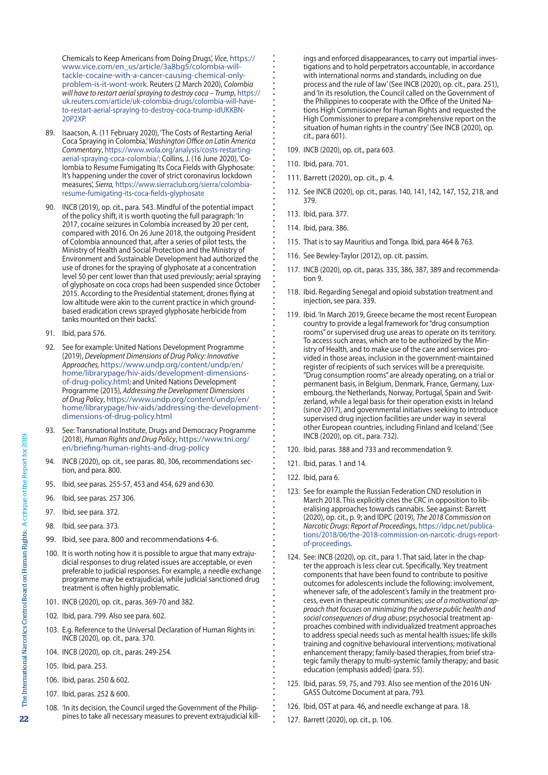Chemicals to Keep Americans from Doing Drugs', *Vice*, [https://](https://www.vice.com/en_us/article/3a8bg5/colombia-will-tackle-cocaine-with-a-cancer-causing-chemical-only-problem-is-it-wont-work) [www.vice.com/en\\_us/article/3a8bg5/colombia-will](https://www.vice.com/en_us/article/3a8bg5/colombia-will-tackle-cocaine-with-a-cancer-causing-chemical-only-problem-is-it-wont-work)[tackle-cocaine-with-a-cancer-causing-chemical-only](https://www.vice.com/en_us/article/3a8bg5/colombia-will-tackle-cocaine-with-a-cancer-causing-chemical-only-problem-is-it-wont-work)[problem-is-it-wont-work](https://www.vice.com/en_us/article/3a8bg5/colombia-will-tackle-cocaine-with-a-cancer-causing-chemical-only-problem-is-it-wont-work). Reuters (2 March 2020), *Colombia will have to restart aerial spraying to destroy coca – Trump*, [https://](https://uk.reuters.com/article/uk-colombia-drugs/colombia-will-have-to-restart-aerial-spraying-to-destroy-coca-trump-idUKKBN20P2XP) [uk.reuters.com/article/uk-colombia-drugs/colombia-will-have](https://uk.reuters.com/article/uk-colombia-drugs/colombia-will-have-to-restart-aerial-spraying-to-destroy-coca-trump-idUKKBN20P2XP)[to-restart-aerial-spraying-to-destroy-coca-trump-idUKKBN-](https://uk.reuters.com/article/uk-colombia-drugs/colombia-will-have-to-restart-aerial-spraying-to-destroy-coca-trump-idUKKBN20P2XP)[20P2XP](https://uk.reuters.com/article/uk-colombia-drugs/colombia-will-have-to-restart-aerial-spraying-to-destroy-coca-trump-idUKKBN20P2XP).

- 89. Isaacson, A. (11 February 2020), 'The Costs of Restarting Aerial Coca Spraying in Colombia,'*Washington Office on Latin America Commentary*, [https://www.wola.org/analysis/costs-restarting](https://www.wola.org/analysis/costs-restarting-aerial-spraying-coca-colombia/)[aerial-spraying-coca-colombia/;](https://www.wola.org/analysis/costs-restarting-aerial-spraying-coca-colombia/) Collins, J. (16 June 2020), 'Colombia to Resume Fumigating Its Coca Fields with Glyphosate: It's happening under the cover of strict coronavirus lockdown measures', *Sierra,* [https://www.sierraclub.org/sierra/colombia](https://www.sierraclub.org/sierra/colombia-resume-fumigating-its-coca-fields-glyphosate)[resume-fumigating-its-coca-fields-glyphosate](https://www.sierraclub.org/sierra/colombia-resume-fumigating-its-coca-fields-glyphosate)
- 90. INCB (2019), op. cit., para. 543. Mindful of the potential impact of the policy shift, it is worth quoting the full paragraph: 'In 2017, cocaine seizures in Colombia increased by 20 per cent, compared with 2016. On 26 June 2018, the outgoing President of Colombia announced that, after a series of pilot tests, the Ministry of Health and Social Protection and the Ministry of Environment and Sustainable Development had authorized the use of drones for the spraying of glyphosate at a concentration level 50 per cent lower than that used previously; aerial spraying of glyphosate on coca crops had been suspended since October 2015. According to the Presidential statement, drones flying at low altitude were akin to the current practice in which groundbased eradication crews sprayed glyphosate herbicide from tanks mounted on their backs'.
- 91. Ibid, para 576.
- 92. See for example: United Nations Development Programme (2019), *Development Dimensions of Drug Policy: Innovative Approaches,* [https://www.undp.org/content/undp/en/](https://www.undp.org/content/undp/en/home/librarypage/hiv-aids/development-dimensions-of-drug-policy.html) [home/librarypage/hiv-aids/development-dimensions](https://www.undp.org/content/undp/en/home/librarypage/hiv-aids/development-dimensions-of-drug-policy.html)[of-drug-policy.html;](https://www.undp.org/content/undp/en/home/librarypage/hiv-aids/development-dimensions-of-drug-policy.html) and United Nations Development Programme (2015), *Addressing the Development Dimensions of Drug Policy*, [https://www.undp.org/content/undp/en/](https://www.undp.org/content/undp/en/home/librarypage/hiv-aids/addressing-the-development-dimensions-of-drug-policy.html) [home/librarypage/hiv-aids/addressing-the-development](https://www.undp.org/content/undp/en/home/librarypage/hiv-aids/addressing-the-development-dimensions-of-drug-policy.html)[dimensions-of-drug-policy.html](https://www.undp.org/content/undp/en/home/librarypage/hiv-aids/addressing-the-development-dimensions-of-drug-policy.html)
- 93. See: Transnational Institute, Drugs and Democracy Programme (2018), *Human Rights and Drug Policy*, [https://www.tni.org/](https://www.tni.org/en/briefing/human-rights-and-drug-policy) [en/briefing/human-rights-and-drug-policy](https://www.tni.org/en/briefing/human-rights-and-drug-policy)
- 94. INCB (2020), op. cit., see paras. 80, 306, recommendations section, and para. 800.
- 95. Ibid, see paras. 255-57, 453 and 454, 629 and 630.
- 96. Ibid, see paras. 257 306.
- 97. Ibid, see para. 372.
- 98. Ibid, see para. 373.
- 99. Ibid, see para. 800 and recommendations 4-6.
- 100. It is worth noting how it is possible to argue that many extrajudicial responses to drug related issues are acceptable, or even preferable to judicial responses. For example, a needle exchange programme may be extrajudicial, while judicial sanctioned drug treatment is often highly problematic.
- 101. INCB (2020), op. cit., paras. 369-70 and 382.
- 102. Ibid, para. 799. Also see para. 602.
- 103. E.g. Reference to the Universal Declaration of Human Rights in: INCB (2020), op. cit., para. 370.
- 104. INCB (2020), op. cit., paras. 249-254.
- 105. Ibid, para. 253.
- 106. Ibid, paras. 250 & 602.
- 107. Ibid, paras. 252 & 600.
- 108. 'In its decision, the Council urged the Government of the Philippines to take all necessary measures to prevent extrajudicial kill-

ings and enforced disappearances, to carry out impartial investigations and to hold perpetrators accountable, in accordance with international norms and standards, including on due process and the rule of law'(See INCB (2020), op. cit., para. 251), and 'In its resolution, the Council called on the Government of the Philippines to cooperate with the Office of the United Nations High Commissioner for Human Rights and requested the High Commissioner to prepare a comprehensive report on the situation of human rights in the country'(See INCB (2020), op. cit., para 601).

- 109. INCB (2020), op. cit., para 603.
- 110. Ibid, para. 701.
- 111. Barrett (2020), op. cit., p. 4.
- 112. See INCB (2020), op. cit., paras. 140, 141, 142, 147, 152, 218, and 379.
- 113. Ibid, para. 377.
- 114. Ibid, para. 386.
- 115. That is to say Mauritius and Tonga. Ibid, para 464 & 763.
- 116. See Bewley-Taylor (2012), op. cit. passim.
- 117. INCB (2020), op. cit., paras. 335, 386, 387, 389 and recommendation 9.
- 118. Ibid. Regarding Senegal and opioid substation treatment and injection, see para. 339.
- 119. Ibid. 'In March 2019, Greece became the most recent European country to provide a legal framework for"drug consumption rooms"or supervised drug use areas to operate on its territory. To access such areas, which are to be authorized by the Ministry of Health, and to make use of the care and services provided in those areas, inclusion in the government-maintained register of recipients of such services will be a prerequisite. "Drug consumption rooms" are already operating, on a trial or permanent basis, in Belgium, Denmark, France, Germany, Luxembourg, the Netherlands, Norway, Portugal, Spain and Switzerland, while a legal basis for their operation exists in Ireland (since 2017), and governmental initiatives seeking to introduce supervised drug injection facilities are under way in several other European countries, including Finland and Iceland.'(See INCB (2020), op. cit., para. 732).
- 120. Ibid, paras. 388 and 733 and recommendation 9.
- 121. Ibid, paras. 1 and 14.
- 122. Ibid, para 6.
- 123. See for example the Russian Federation CND resolution in March 2018. This explicitly cites the CRC in opposition to liberalising approaches towards cannabis. See against: Barrett (2020), op. cit., p. 9; and IDPC (2019), *The 2018 Commission on Narcotic Drugs: Report of Proceedings*, [https://idpc.net/publica](https://idpc.net/publications/2018/06/the-2018-commission-on-narcotic-drugs-report-of-proceedings)[tions/2018/06/the-2018-commission-on-narcotic-drugs-report](https://idpc.net/publications/2018/06/the-2018-commission-on-narcotic-drugs-report-of-proceedings)[of-proceedings](https://idpc.net/publications/2018/06/the-2018-commission-on-narcotic-drugs-report-of-proceedings).
- 124. See: INCB (2020), op. cit., para 1. That said, later in the chapter the approach is less clear cut. Specifically, 'Key treatment components that have been found to contribute to positive outcomes for adolescents include the following: involvement, whenever safe, of the adolescent's family in the treatment process, even in therapeutic communities; *use of a motivational approach that focuses on minimizing the adverse public health and social consequences of drug abuse*; psychosocial treatment approaches combined with individualized treatment approaches to address special needs such as mental health issues; life skills training and cognitive behavioural interventions; motivational enhancement therapy; family-based therapies, from brief strategic family therapy to multi-systemic family therapy; and basic education (emphasis added) (para. 55).
- 125. Ibid, paras. 59, 75, and 793. Also see mention of the 2016 UN-GASS Outcome Document at para. 793.
- 126. Ibid, OST at para. 46, and needle exchange at para. 18.
- 127. Barrett (2020), op. cit., p. 106.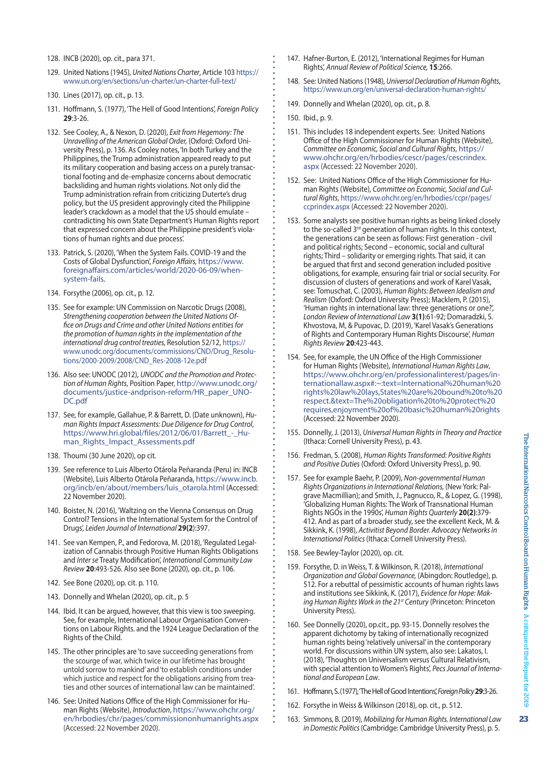- 129. United Nations(1945), *United Nations Charter*, Article 103 https:// www.un.org/en/sections/un-charter/un-charter-full-text/
- 130. Lines (2017), op. cit., p. 13.
- 131. Hoffmann, S. (1977), 'The Hell of Good Intentions', *Foreign Policy* **29**:3-26.
- 132. See Cooley, A., & Nexon, D. (2020), *Exit from Hegemony: The Unravelling of the American Global Order,* (Oxford: Oxford University Press), p. 136. As Cooley notes, 'In both Turkey and the Philippines, the Trump administration appeared ready to put its military cooperation and basing access on a purely transactional footing and de-emphasize concerns about democratic backsliding and human rights violations. Not only did the Trump administration refrain from criticizing Duterte's drug policy, but the US president approvingly cited the Philippine leader's crackdown as a model that the US should emulate – contradicting his own State Department's Human Rights report that expressed concern about the Philippine president's violations of human rights and due process'.
- 133. Patrick, S. (2020), 'When the System Fails. COVID-19 and the Costs of Global Dysfunction', *Foreign Affairs,* [https://www.](https://www.foreignaffairs.com/articles/world/2020-06-09/when-system-fails) [foreignaffairs.com/articles/world/2020-06-09/when](https://www.foreignaffairs.com/articles/world/2020-06-09/when-system-fails)[system-fails.](https://www.foreignaffairs.com/articles/world/2020-06-09/when-system-fails)
- 134. Forsythe (2006), op. cit., p. 12.
- 135. See for example: UN Commission on Narcotic Drugs (2008), *Strengthening cooperation between the United Nations Office on Drugs and Crime and other United Nations entities for the promotion of human rights in the implementation of the international drug control treaties,* Resolution 52/12, [https://](https://www.unodc.org/documents/commissions/CND/Drug_Resolutions/2000-2009/2008/CND_Res-2008-12e.pdf) [www.unodc.org/documents/commissions/CND/Drug\\_Resolu](https://www.unodc.org/documents/commissions/CND/Drug_Resolutions/2000-2009/2008/CND_Res-2008-12e.pdf)[tions/2000-2009/2008/CND\\_Res-2008-12e.pdf](https://www.unodc.org/documents/commissions/CND/Drug_Resolutions/2000-2009/2008/CND_Res-2008-12e.pdf)
- 136. Also see: UNODC (2012), *UNODC and the Promotion and Protection of Human Rights*, Position Paper, [http://www.unodc.org/](http://www.unodc.org/documents/justice-andprison-reform/HR_paper_UNODC.pdf) [documents/justice-andprison-reform/HR\\_paper\\_UNO-](http://www.unodc.org/documents/justice-andprison-reform/HR_paper_UNODC.pdf)[DC.pdf](http://www.unodc.org/documents/justice-andprison-reform/HR_paper_UNODC.pdf)
- 137. See, for example, Gallahue, P. & Barrett, D. (Date unknown), *Human Rights Impact Assessments: Due Diligence for Drug Control*, [https://www.hri.global/files/2012/06/01/Barrett\\_-\\_Hu](https://www.hri.global/files/2012/06/01/Barrett_-_Human_Rights_Impact_Assessments.pdf)[man\\_Rights\\_Impact\\_Assessments.pdf](https://www.hri.global/files/2012/06/01/Barrett_-_Human_Rights_Impact_Assessments.pdf)
- 138. Thoumi (30 June 2020), op cit.
- 139. See reference to Luis Alberto Otárola Peñaranda (Peru) in: INCB (Website), Luis Alberto Otárola Peñaranda, [https://www.incb.](https://www.incb.org/incb/en/about/members/luis_otarola.html) [org/incb/en/about/members/luis\\_otarola.html](https://www.incb.org/incb/en/about/members/luis_otarola.html) (Accessed: 22 November 2020).
- 140. Boister, N. (2016), 'Waltzing on the Vienna Consensus on Drug Control? Tensions in the International System for the Control of Drugs', *Leiden Journal of International* **29(2**):397.
- 141. See van Kempen, P., and Fedorova, M. (2018), 'Regulated Legalization of Cannabis through Positive Human Rights Obligations and *Inter se* Treaty Modification', *International Community Law Review* **20**:493-526. Also see Bone (2020), op. cit., p. 106.
- 142. See Bone (2020), op. cit. p. 110.
- 143. Donnelly and Whelan (2020), op. cit., p. 5
- 144. Ibid. It can be argued, however, that this view is too sweeping. See, for example, International Labour Organisation Conventions on Labour Rights. and the 1924 League Declaration of the Rights of the Child.
- 145. The other principles are 'to save succeeding generations from the scourge of war, which twice in our lifetime has brought untold sorrow to mankind' and'to establish conditions under which justice and respect for the obligations arising from treaties and other sources of international law can be maintained'.
- 146. See: United Nations Office of the High Commissioner for Human Rights (Website), *Introduction*, [https://www.ohchr.org/](https://www.ohchr.org/en/hrbodies/chr/pages/commissiononhumanrights.aspx) [en/hrbodies/chr/pages/commissiononhumanrights.aspx](https://www.ohchr.org/en/hrbodies/chr/pages/commissiononhumanrights.aspx) (Accessed: 22 November 2020).
- 147. Hafner-Burton, E. (2012), 'International Regimes for Human Rights', *Annual Review of Political Science,* **15**:266.
- 148. See: United Nations(1948), *Universal Declaration of Human Rights*, <https://www.un.org/en/universal-declaration-human-rights/>
- 149. Donnelly and Whelan (2020), op. cit., p. 8.
- 150. Ibid., p. 9.
- 151. This includes 18 independent experts. See: United Nations Office of the High Commissioner for Human Rights (Website), *Committee on Economic, Social and Cultural Rights*, [https://](https://www.ohchr.org/en/hrbodies/cescr/pages/cescrindex.aspx) [www.ohchr.org/en/hrbodies/cescr/pages/cescrindex.](https://www.ohchr.org/en/hrbodies/cescr/pages/cescrindex.aspx) [aspx](https://www.ohchr.org/en/hrbodies/cescr/pages/cescrindex.aspx) (Accessed: 22 November 2020).
- 152. See: United Nations Office of the High Commissioner for Human Rights (Website), *Committee on Economic, Social and Cultural Rights*, [https://www.ohchr.org/en/hrbodies/ccpr/pages/](https://www.ohchr.org/en/hrbodies/ccpr/pages/ccprindex.aspx) [ccprindex.aspx](https://www.ohchr.org/en/hrbodies/ccpr/pages/ccprindex.aspx) (Accessed: 22 November 2020).
- 153. Some analysts see positive human rights as being linked closely to the so-called 3<sup>rd</sup> generation of human rights. In this context, the generations can be seen as follows: First generation - civil and political rights; Second – economic, social and cultural rights; Third – solidarity or emerging rights. That said, it can be argued that first and second generation included positive obligations, for example, ensuring fair trial or social security. For discussion of clusters of generations and work of Karel Vasak, see: Tomuschat, C. (2003), *Human Rights: Between Idealism and Realism* (Oxford: Oxford University Press); Macklem, P. (2015), 'Human rights in international law: three generations or one?', *London Review of International Law* **3(1)**:61-92; Domaradzki, S. Khvostova, M, & Pupovac, D. (2019), 'Karel Vasak's Generations of Rights and Contemporary Human Rights Discourse', *Human Rights Review* **20**:423-443.
- 154. See, for example, the UN Office of the High Commissioner for Human Rights (Website), *International Human Rights Law*, [https://www.ohchr.org/en/professionalinterest/pages/in](https://www.ohchr.org/en/professionalinterest/pages/internationallaw.aspx#:~:text=International human rights law lays,States are bound to respect.&text=The obligation to protect requires,enjoyment of basic human rights)[ternationallaw.aspx#:~:text=International%20human%20](https://www.ohchr.org/en/professionalinterest/pages/internationallaw.aspx#:~:text=International human rights law lays,States are bound to respect.&text=The obligation to protect requires,enjoyment of basic human rights) [rights%20law%20lays,States%20are%20bound%20to%20](https://www.ohchr.org/en/professionalinterest/pages/internationallaw.aspx#:~:text=International human rights law lays,States are bound to respect.&text=The obligation to protect requires,enjoyment of basic human rights) [respect.&text=The%20obligation%20to%20protect%20](https://www.ohchr.org/en/professionalinterest/pages/internationallaw.aspx#:~:text=International human rights law lays,States are bound to respect.&text=The obligation to protect requires,enjoyment of basic human rights) [requires,enjoyment%20of%20basic%20human%20rights](https://www.ohchr.org/en/professionalinterest/pages/internationallaw.aspx#:~:text=International human rights law lays,States are bound to respect.&text=The obligation to protect requires,enjoyment of basic human rights) (Accessed: 22 November 2020).
- 155. Donnelly, J. (2013), *Universal Human Rights in Theory and Practice* (Ithaca: Cornell University Press), p. 43.
- 156. Fredman, S. (2008), *Human Rights Transformed: Positive Rights and Positive Duties* (Oxford: Oxford University Press), p. 90.
- 157. See for example Baehr, P. (2009), *Non-governmental Human Rights Organizations in International Relations,* (New York: Palgrave Macmillian); and Smith, J., Pagnucco, R., & Lopez, G. (1998), 'Globalizing Human Rights: The Work of Transnational Human Rights NGOs in the 1990s', *Human Rights Quarterly* **20(2)**:379- 412. And as part of a broader study, see the excellent Keck, M. & Sikkink, K. (1998), *Activitist Beyond Border. Advocacy Networks in International Politics* (Ithaca: Cornell University Press).
- 158. See Bewley-Taylor (2020), op. cit.
- 159. Forsythe, D. in Weiss, T. & Wilkinson, R. (2018), *International Organization and Global Governance,* (Abingdon: Routledge), p. 512. For a rebuttal of pessimistic accounts of human rights laws and institutions see Sikkink, K. (2017), *Evidence for Hope: Making Human Rights Work in the 21st Century* (Princeton: Princeton University Press).
- 160. See Donnelly (2020), op.cit., pp. 93-15. Donnelly resolves the apparent dichotomy by taking of internationally recognized human rights being'relatively universal' in the contemporary world. For discussions within UN system, also see: Lakatos, I. (2018), 'Thoughts on Universalism versus Cultural Relativism, with special attention to Women's Rights', *Pecs Journal of International and European Law*.
- 161. Hoffmann, S. (1977), 'The Hell of Good Intentions', Foreign Policy 29:3-26.
- 162. Forsythe in Weiss & Wilkinson (2018), op. cit., p. 512.
- 163. Simmons, B. (2019), *Mobilizing for Human Rights. International Law in Domestic Politics* (Cambridge: Cambridge University Press), p. 5.